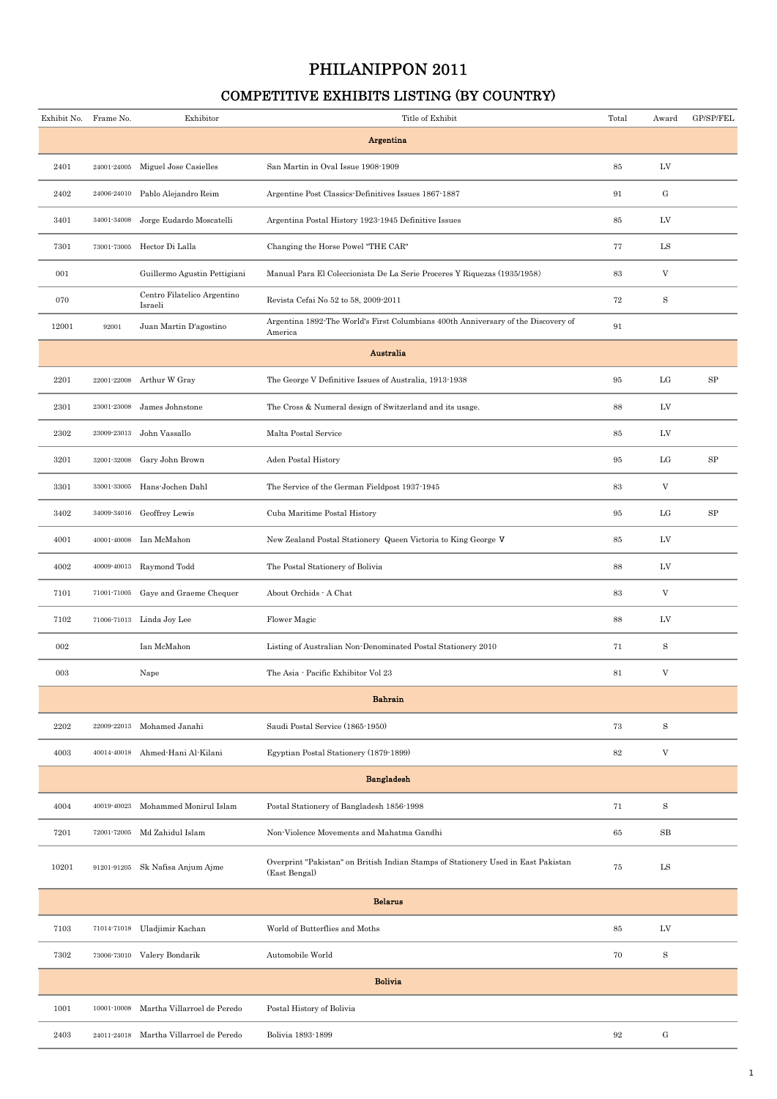## PHILANIPPON 2011

## COMPETITIVE EXHIBITS LISTING (BY COUNTRY)

| Exhibit No. | Frame No.   | Exhibitor                              | Title of Exhibit                                                                                   | Total  | Award                     | GP/SP/FEL        |
|-------------|-------------|----------------------------------------|----------------------------------------------------------------------------------------------------|--------|---------------------------|------------------|
|             |             |                                        | Argentina                                                                                          |        |                           |                  |
| 2401        |             | 24001-24005 Miguel Jose Casielles      | San Martin in Oval Issue 1908-1909                                                                 | 85     | LV                        |                  |
| 2402        |             | 24006-24010 Pablo Alejandro Reim       | Argentine Post Classics-Definitives Issues 1867-1887                                               | 91     | $\mathrm{G}$              |                  |
| 3401        | 34001-34008 | Jorge Eudardo Moscatelli               | Argentina Postal History 1923-1945 Definitive Issues                                               | 85     | LV                        |                  |
| 7301        |             | 73001-73005 Hector Di Lalla            | Changing the Horse Powel "THE CAR"                                                                 | 77     | ${\rm LS}$                |                  |
| 001         |             | Guillermo Agustin Pettigiani           | Manual Para El Coleccionista De La Serie Proceres Y Riquezas (1935/1958)                           | 83     | $\ensuremath{\mathbf{V}}$ |                  |
| 070         |             | Centro Filatelico Argentino<br>Israeli | Revista Cefai No 52 to 58, 2009-2011                                                               | 72     | $\rm S$                   |                  |
| 12001       | 92001       | Juan Martin D'agostino                 | Argentina 1892 The World's First Columbians 400th Anniversary of the Discovery of<br>America       | 91     |                           |                  |
|             |             |                                        | Australia                                                                                          |        |                           |                  |
| 2201        |             | 22001-22008 Arthur W Gray              | The George V Definitive Issues of Australia, 1913-1938                                             | 95     | $_{\rm LG}$               | $_{\mathrm{SP}}$ |
| 2301        | 23001-23008 | James Johnstone                        | The Cross & Numeral design of Switzerland and its usage.                                           | 88     | LV                        |                  |
| 2302        | 23009-23013 | John Vassallo                          | Malta Postal Service                                                                               | 85     | LV                        |                  |
| 3201        | 32001-32008 | Gary John Brown                        | Aden Postal History                                                                                | 95     | LG                        | SP               |
| 3301        | 33001-33005 | Hans-Jochen Dahl                       | The Service of the German Fieldpost 1937-1945                                                      | 83     | $\mathbf V$               |                  |
| 3402        |             | 34009-34016 Geoffrey Lewis             | Cuba Maritime Postal History                                                                       | 95     | $_{\rm LG}$               | $_{\rm SP}$      |
| 4001        | 40001-40008 | Ian McMahon                            | New Zealand Postal Stationery Queen Victoria to King George V                                      | 85     | LV                        |                  |
| 4002        |             | 40009-40013 Raymond Todd               | The Postal Stationery of Bolivia                                                                   | 88     | LV                        |                  |
| 7101        | 71001-71005 | Gaye and Graeme Chequer                | About Orchids - A Chat                                                                             | 83     | $\mathbf V$               |                  |
| 7102        | 71006-71013 | Linda Joy Lee                          | Flower Magic                                                                                       | 88     | ${\rm LV}$                |                  |
| 002         |             | Ian McMahon                            | Listing of Australian Non-Denominated Postal Stationery 2010                                       | 71     | $\mathbf S$               |                  |
| 003         |             | Nape                                   | The Asia - Pacific Exhibitor Vol 23                                                                | 81     | $\ensuremath{\mathbf{V}}$ |                  |
|             |             |                                        | <b>Bahrain</b>                                                                                     |        |                           |                  |
| 2202        | 22009-22013 | Mohamed Janahi                         | Saudi Postal Service (1865-1950)                                                                   | 73     | $\rm S$                   |                  |
| 4003        | 40014-40018 | Ahmed-Hani Al-Kilani                   | Egyptian Postal Stationery (1879-1899)                                                             | $82\,$ | $\boldsymbol{\mathrm{V}}$ |                  |
|             |             |                                        | <b>Bangladesh</b>                                                                                  |        |                           |                  |
| 4004        | 40019-40023 | Mohammed Monirul Islam                 | Postal Stationery of Bangladesh 1856-1998                                                          | 71     | $\rm S$                   |                  |
| 7201        | 72001-72005 | Md Zahidul Islam                       | Non-Violence Movements and Mahatma Gandhi                                                          | 65     | SB                        |                  |
| 10201       | 91201-91205 | Sk Nafisa Anjum Ajme                   | Overprint "Pakistan" on British Indian Stamps of Stationery Used in East Pakistan<br>(East Bengal) | 75     | LS                        |                  |
|             |             |                                        | <b>Belarus</b>                                                                                     |        |                           |                  |
| 7103        |             | 71014-71018 Uladjimir Kachan           | World of Butterflies and Moths                                                                     | 85     | LV                        |                  |
| 7302        |             | 73006-73010 Valery Bondarik            | Automobile World                                                                                   | 70     | $\rm S$                   |                  |
|             |             |                                        | <b>Bolivia</b>                                                                                     |        |                           |                  |
| 1001        | 10001-10008 | Martha Villarroel de Peredo            | Postal History of Bolivia                                                                          |        |                           |                  |
| 2403        | 24011-24018 | Martha Villarroel de Peredo            | Bolivia 1893-1899                                                                                  | $92\,$ | ${\bf G}$                 |                  |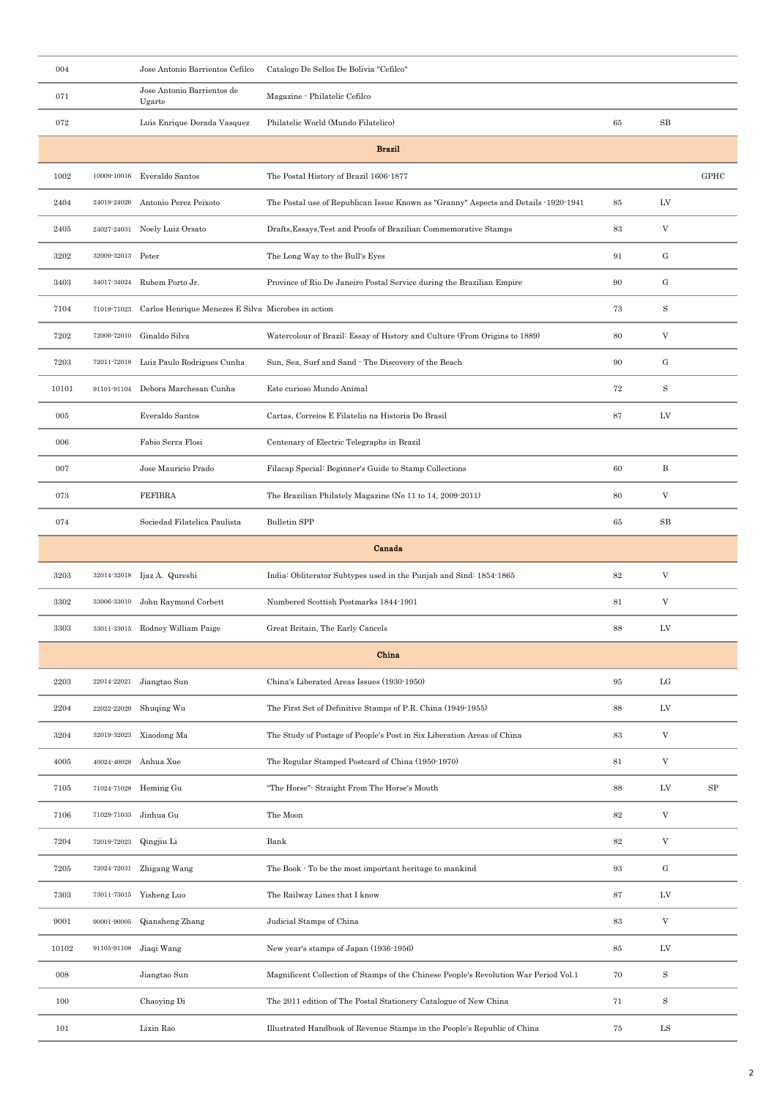| 004     |                   | Jose Antonio Barrientos Cefilco                    | Catalogo De Sellos De Bolivia "Cefilco"                                              |                   |                                   |            |
|---------|-------------------|----------------------------------------------------|--------------------------------------------------------------------------------------|-------------------|-----------------------------------|------------|
| 071     |                   | Jose Antonio Barrientos de<br>Ugarte               | Magazine - Philatelic Cefilco                                                        |                   |                                   |            |
| 072     |                   | Luis Enrique Dorada Vasquez                        | Philatelic World (Mundo Filatelico)                                                  | 65                | $_{\rm SB}$                       |            |
|         |                   |                                                    | <b>Brazil</b>                                                                        |                   |                                   |            |
| 1002    |                   | 10009-10016 Everaldo Santos                        | The Postal History of Brazil 1606-1877                                               |                   |                                   | GPHC       |
| 2404    | 24019-24026       | Antonio Perez Peixoto                              | The Postal use of Republican Issue Known as "Granny" Aspects and Details -1920-1941  | 85                | LV                                |            |
| 2405    | 24027-24031       | Noely Luiz Orsato                                  | Drafts, Essays, Test and Proofs of Brazilian Commemorative Stamps                    | 83                | $\ensuremath{\mathbf{V}}$         |            |
| 3202    | 32009-32013 Peter |                                                    | The Long Way to the Bull's Eyes                                                      | 91                | ${\bf G}$                         |            |
| 3403    | 34017-34024       | Rubem Porto Jr.                                    | Province of Rio De Janeiro Postal Service during the Brazilian Empire                | 90                | ${\rm G}$                         |            |
| 7104    | 71019-71023       | Carlos Henrique Menezes E Silva Microbes in action |                                                                                      | 73                | $\mathbf S$                       |            |
| 7202    | 72006-72010       | Ginaldo Silva                                      | Watercolour of Brazil: Essay of History and Culture (From Origins to 1889)           | 80                | V                                 |            |
| 7203    |                   | 72011-72018 Luiz Paulo Rodrigues Cunha             | Sun, Sea, Surf and Sand · The Discovery of the Beach                                 | 90                | $\mathbf{G}% _{t}\left( t\right)$ |            |
| 10101   |                   | 91101-91104 Debora Marchesan Cunha                 | Este curioso Mundo Animal                                                            | 72                | S                                 |            |
| $\,005$ |                   | Everaldo Santos                                    | Cartas, Correios E Filatelia na Historia Do Brasil                                   | 87                | LV                                |            |
| 006     |                   | Fabio Serra Flosi                                  | Centenary of Electric Telegraphs in Brazil                                           |                   |                                   |            |
| 007     |                   | Jose Mauricio Prado                                | Filacap Special: Beginner's Guide to Stamp Collections                               | 60                | $_{\rm B}$                        |            |
| 073     |                   | <b>FEFIBRA</b>                                     | The Brazilian Philately Magazine (No 11 to 14, 2009-2011)                            | 80                | V                                 |            |
| 074     |                   | Sociedad Filatelica Paulista                       | <b>Bulletin SPP</b>                                                                  | 65                | $_{\rm SB}$                       |            |
|         |                   |                                                    | Canada                                                                               |                   |                                   |            |
| 3203    | 32014-32018       | Ijaz A. Qureshi                                    | India: Obliterator Subtypes used in the Punjab and Sind: 1854-1865                   | $82\,$            | $\rm V$                           |            |
| 3302    |                   | 33006-33010 John Raymond Corbett                   | Numbered Scottish Postmarks 1844-1901                                                | 81                | V                                 |            |
| 3303    |                   | 33011-33015 Rodney William Paige                   | Great Britain, The Early Cancels                                                     | 88                | LV                                |            |
|         |                   |                                                    | China                                                                                |                   |                                   |            |
| 2203    | 22014-22021       | Jiangtao Sun                                       | China's Liberated Areas Issues (1930-1950)                                           | 95                | $_{\rm LG}$                       |            |
| 2204    | 22022-22029       | Shuqing Wu                                         | The First Set of Definitive Stamps of P.R. China (1949-1955)                         | 88                | LV                                |            |
| 3204    |                   | 32019-32023 Xiaodong Ma                            | The Study of Postage of People's Post in Six Liberation Areas of China               | 83                | $\mathbf V$                       |            |
| 4005    | 40024-40028       | Anhua Xue                                          | The Regular Stamped Postcard of China (1950-1970)                                    | $81\,$            | $\ensuremath{\mathbf{V}}$         |            |
| 7105    | 71024-71028       | Heming Gu                                          | "The Horse"- Straight From The Horse's Mouth                                         | 88                | LV                                | ${\rm SP}$ |
| 7106    | 71029-71033       | Jinhua Gu                                          | The Moon                                                                             | $82\,$            | V                                 |            |
| 7204    | 72019-72023       | Qingjiu Li                                         | Bank                                                                                 | $82\,$            | $\mathbf V$                       |            |
| 7205    | 72024-72031       | Zhigang Wang                                       | The Book $\cdot$ To be the most important heritage to mankind                        | $\boldsymbol{93}$ | ${\rm G}$                         |            |
| 7303    |                   | 73011-73015 Yisheng Luo                            | The Railway Lines that I know                                                        | 87                | LV                                |            |
| 9001    | 90001-90005       | Qiansheng Zhang                                    | Judicial Stamps of China                                                             | 83                | $\ensuremath{\mathbf{V}}$         |            |
| 10102   | $91105 - 91108$   | Jiaqi Wang                                         | New year's stamps of Japan (1936-1956)                                               | 85                | LV                                |            |
| 008     |                   | Jiangtao Sun                                       | Magnificent Collection of Stamps of the Chinese People's Revolution War Period Vol.1 | 70                | $\, {\bf S}$                      |            |
| 100     |                   | Chaoying Di                                        | The 2011 edition of The Postal Stationery Catalogue of New China                     | 71                | S                                 |            |
| 101     |                   | Lixin Rao                                          | Illustrated Handbook of Revenue Stamps in the People's Republic of China             | 75                | ${\rm LS}$                        |            |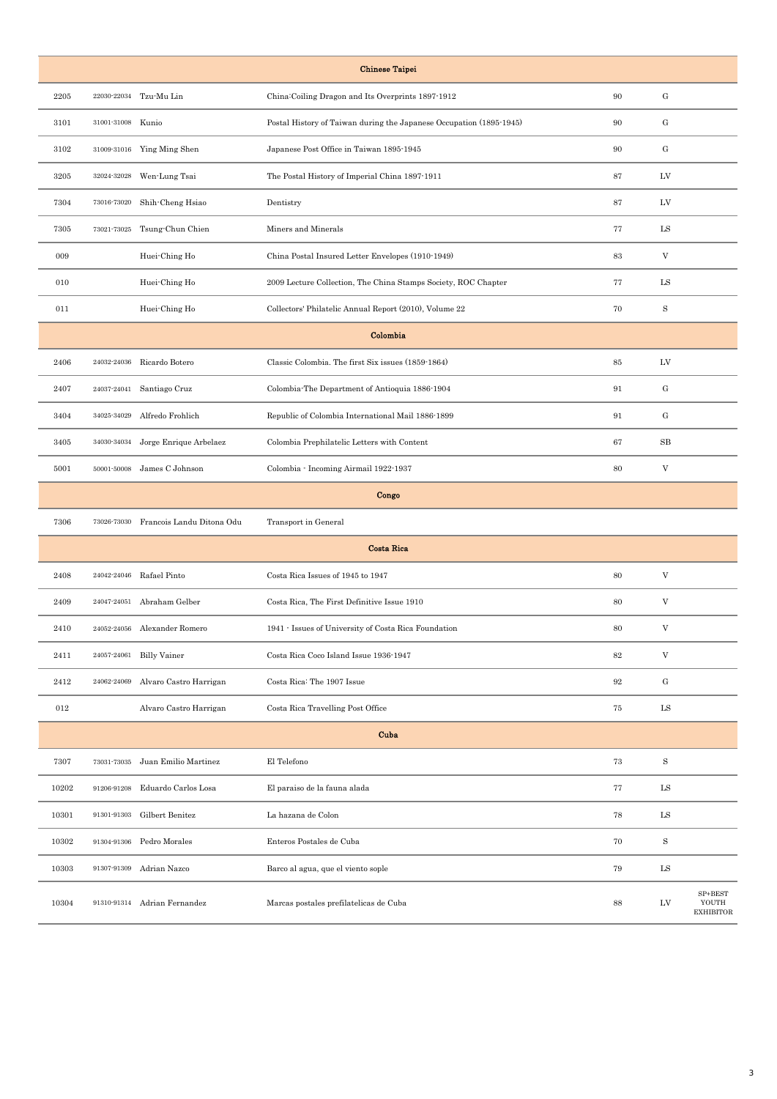|       |                   |                              | <b>Chinese Taipei</b>                                               |    |                         |                                          |
|-------|-------------------|------------------------------|---------------------------------------------------------------------|----|-------------------------|------------------------------------------|
| 2205  |                   | 22030-22034 Tzu-Mu Lin       | China:Coiling Dragon and Its Overprints 1897-1912                   | 90 | G                       |                                          |
| 3101  | 31001-31008 Kunio |                              | Postal History of Taiwan during the Japanese Occupation (1895-1945) | 90 | ${\bf G}$               |                                          |
| 3102  |                   | 31009-31016 Ying Ming Shen   | Japanese Post Office in Taiwan 1895-1945                            | 90 | ${\bf G}$               |                                          |
| 3205  | 32024-32028       | Wen-Lung Tsai                | The Postal History of Imperial China 1897-1911                      | 87 | LV                      |                                          |
| 7304  |                   | 73016-73020 Shih-Cheng Hsiao | Dentistry                                                           | 87 | LV                      |                                          |
| 7305  | 73021-73025       | Tsung-Chun Chien             | Miners and Minerals                                                 | 77 | LS                      |                                          |
| 009   |                   | Huei-Ching Ho                | China Postal Insured Letter Envelopes (1910-1949)                   | 83 | V                       |                                          |
| 010   |                   | Huei-Ching Ho                | 2009 Lecture Collection, The China Stamps Society, ROC Chapter      | 77 | LS                      |                                          |
| 011   |                   | Huei-Ching Ho                | Collectors' Philatelic Annual Report (2010), Volume 22              | 70 | $\,$ S                  |                                          |
|       |                   |                              | Colombia                                                            |    |                         |                                          |
| 2406  | 24032-24036       | Ricardo Botero               | Classic Colombia. The first Six issues (1859-1864)                  | 85 | LV                      |                                          |
| 2407  | 24037-24041       | Santiago Cruz                | Colombia-The Department of Antioquia 1886-1904                      | 91 | ${\bf G}$               |                                          |
| 3404  |                   | 34025-34029 Alfredo Frohlich | Republic of Colombia International Mail 1886-1899                   | 91 | ${\bf G}$               |                                          |
| 3405  | 34030-34034       | Jorge Enrique Arbelaez       | Colombia Prephilatelic Letters with Content                         | 67 | SB                      |                                          |
| 5001  |                   | 50001-50008 James C Johnson  | Colombia - Incoming Airmail 1922-1937                               | 80 | V                       |                                          |
|       |                   |                              | Congo                                                               |    |                         |                                          |
| 7306  | 73026-73030       | Francois Landu Ditona Odu    | Transport in General                                                |    |                         |                                          |
|       |                   |                              | <b>Costa Rica</b>                                                   |    |                         |                                          |
| 2408  | 24042-24046       | Rafael Pinto                 | Costa Rica Issues of 1945 to 1947                                   | 80 | V                       |                                          |
| 2409  |                   | 24047-24051 Abraham Gelber   | Costa Rica, The First Definitive Issue 1910                         | 80 | $\ensuremath{\text{V}}$ |                                          |
| 2410  |                   | 24052-24056 Alexander Romero | 1941 - Issues of University of Costa Rica Foundation                | 80 | V                       |                                          |
| 2411  |                   | 24057-24061 Billy Vainer     | Costa Rica Coco Island Issue 1936-1947                              | 82 | $\mathbf V$             |                                          |
| 2412  | 24062-24069       | Alvaro Castro Harrigan       | Costa Rica: The 1907 Issue                                          | 92 | ${\bf G}$               |                                          |
| 012   |                   | Alvaro Castro Harrigan       | Costa Rica Travelling Post Office                                   | 75 | LS                      |                                          |
|       |                   |                              | Cuba                                                                |    |                         |                                          |
| 7307  | 73031-73035       | Juan Emilio Martinez         | El Telefono                                                         | 73 | $\rm S$                 |                                          |
| 10202 | 91206-91208       | Eduardo Carlos Losa          | El paraiso de la fauna alada                                        | 77 | LS                      |                                          |
| 10301 | 91301-91303       | Gilbert Benitez              | La hazana de Colon                                                  | 78 | LS                      |                                          |
| 10302 | 91304-91306       | Pedro Morales                | Enteros Postales de Cuba                                            | 70 | $\rm S$                 |                                          |
| 10303 |                   | 91307-91309 Adrian Nazco     | Barco al agua, que el viento sople                                  | 79 | LS                      |                                          |
| 10304 |                   | 91310-91314 Adrian Fernandez | Marcas postales prefilatelicas de Cuba                              | 88 | LV                      | $SP + BEST$<br>YOUTH<br><b>EXHIBITOR</b> |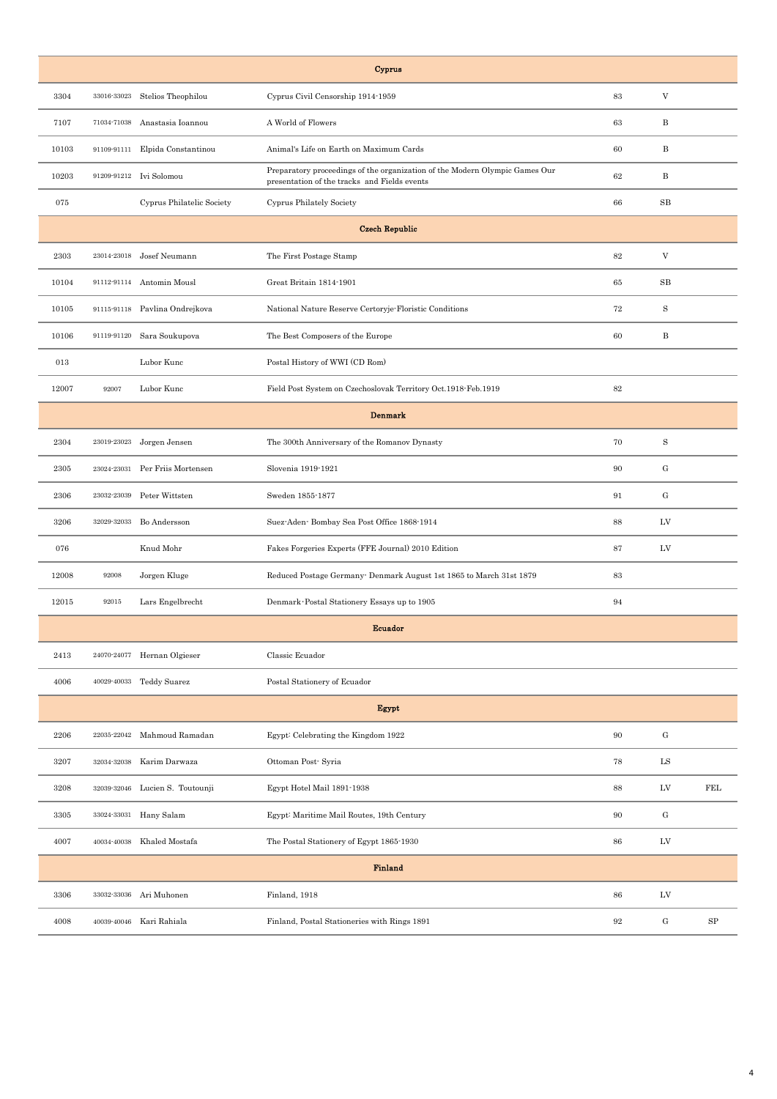|       |             |                                 | Cyprus                                                                                                                      |                   |                           |            |
|-------|-------------|---------------------------------|-----------------------------------------------------------------------------------------------------------------------------|-------------------|---------------------------|------------|
| 3304  | 33016-33023 | Stelios Theophilou              | Cyprus Civil Censorship 1914-1959                                                                                           | 83                | $\ensuremath{\mathbf{V}}$ |            |
| 7107  |             | 71034-71038 Anastasia Ioannou   | A World of Flowers                                                                                                          | 63                | $\, {\bf B}$              |            |
| 10103 |             | 91109-91111 Elpida Constantinou | Animal's Life on Earth on Maximum Cards                                                                                     | 60                | B                         |            |
| 10203 |             | 91209-91212 Ivi Solomou         | Preparatory proceedings of the organization of the Modern Olympic Games Our<br>presentation of the tracks and Fields events | 62                | $\, {\bf B}$              |            |
| 075   |             | Cyprus Philatelic Society       | Cyprus Philately Society                                                                                                    | 66                | $_{\rm SB}$               |            |
|       |             |                                 | <b>Czech Republic</b>                                                                                                       |                   |                           |            |
| 2303  |             | 23014-23018 Josef Neumann       | The First Postage Stamp                                                                                                     | $82\,$            | $\ensuremath{\mathbf{V}}$ |            |
| 10104 |             | 91112-91114 Antomin Mousl       | Great Britain 1814-1901                                                                                                     | 65                | $_{\rm SB}$               |            |
| 10105 |             | 91115-91118 Pavlina Ondrejkova  | National Nature Reserve Certoryje Floristic Conditions                                                                      | 72                | $\rm S$                   |            |
| 10106 |             | 91119-91120 Sara Soukupova      | The Best Composers of the Europe                                                                                            | 60                | $\, {\bf B}$              |            |
| 013   |             | Lubor Kunc                      | Postal History of WWI (CD Rom)                                                                                              |                   |                           |            |
| 12007 | 92007       | Lubor Kunc                      | Field Post System on Czechoslovak Territory Oct.1918 Feb.1919                                                               | $82\,$            |                           |            |
|       |             |                                 | <b>Denmark</b>                                                                                                              |                   |                           |            |
| 2304  | 23019-23023 | Jorgen Jensen                   | The 300th Anniversary of the Romanov Dynasty                                                                                | 70                | $\rm S$                   |            |
| 2305  |             | 23024-23031 Per Friis Mortensen | Slovenia 1919-1921                                                                                                          | 90                | ${\rm G}$                 |            |
| 2306  | 23032-23039 | Peter Wittsten                  | Sweden 1855-1877                                                                                                            | 91                | ${\rm G}$                 |            |
| 3206  | 32029-32033 | Bo Andersson                    | Suez-Aden-Bombay Sea Post Office 1868-1914                                                                                  | 88                | LV                        |            |
| 076   |             | Knud Mohr                       | Fakes Forgeries Experts (FFE Journal) 2010 Edition                                                                          | 87                | LV                        |            |
| 12008 | 92008       | Jorgen Kluge                    | Reduced Postage Germany- Denmark August 1st 1865 to March 31st 1879                                                         | 83                |                           |            |
| 12015 | 92015       | Lars Engelbrecht                | Denmark Postal Stationery Essays up to 1905                                                                                 | 94                |                           |            |
|       |             |                                 | <b>Ecuador</b>                                                                                                              |                   |                           |            |
| 2413  |             | 24070-24077 Hernan Olgieser     | Classic Ecuador                                                                                                             |                   |                           |            |
| 4006  |             | 40029-40033 Teddy Suarez        | Postal Stationery of Ecuador                                                                                                |                   |                           |            |
|       |             |                                 | Egypt                                                                                                                       |                   |                           |            |
| 2206  | 22035-22042 | Mahmoud Ramadan                 | Egypt: Celebrating the Kingdom 1922                                                                                         | 90                | ${\bf G}$                 |            |
| 3207  | 32034-32038 | Karim Darwaza                   | Ottoman Post-Syria                                                                                                          | 78                | ${\rm LS}$                |            |
| 3208  |             | 32039-32046 Lucien S. Toutounji | Egypt Hotel Mail 1891-1938                                                                                                  | 88                | ${\rm LV}$                | <b>FEL</b> |
| 3305  |             | 33024-33031 Hany Salam          | Egypt: Maritime Mail Routes, 19th Century                                                                                   | 90                | ${\rm G}$                 |            |
| 4007  | 40034-40038 | Khaled Mostafa                  | The Postal Stationery of Egypt 1865-1930                                                                                    | 86                | ${\rm LV}$                |            |
|       |             |                                 | <b>Finland</b>                                                                                                              |                   |                           |            |
| 3306  | 33032-33036 | Ari Muhonen                     | Finland, 1918                                                                                                               | 86                | LV                        |            |
| 4008  |             | 40039-40046 Kari Rahiala        | Finland, Postal Stationeries with Rings 1891                                                                                | $\boldsymbol{92}$ | ${\bf G}$                 | ${\rm SP}$ |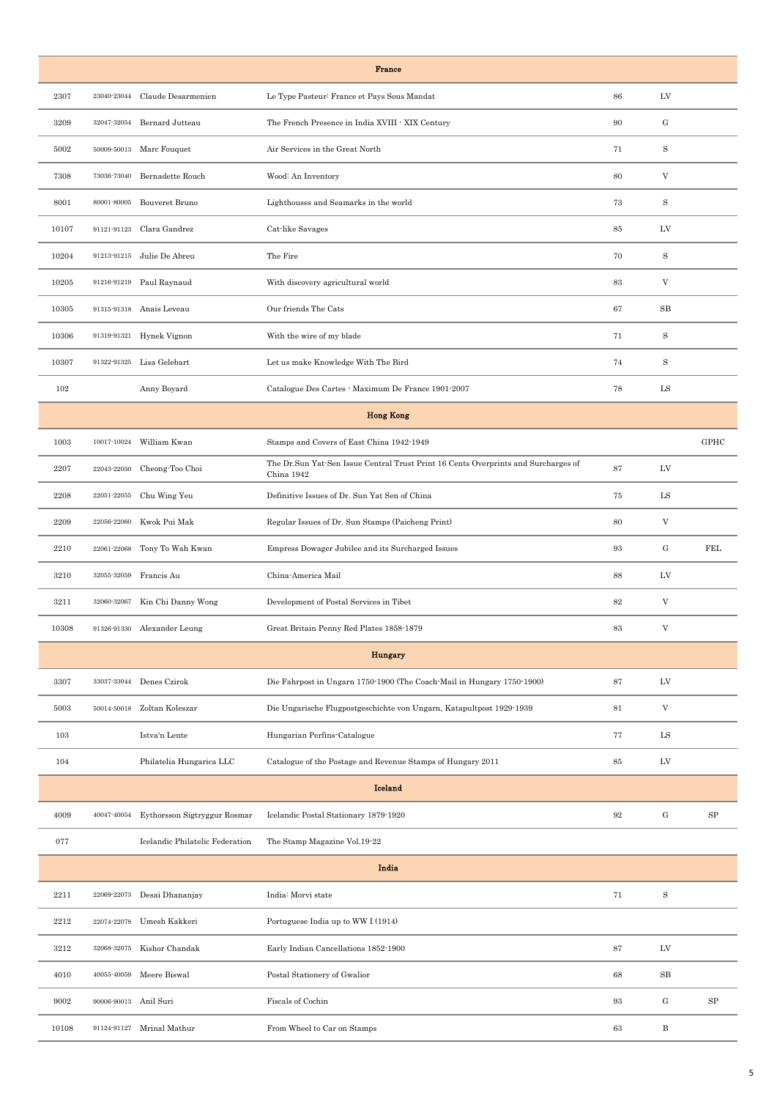|       |                       |                                 | <b>France</b>                                                                                    |        |                           |            |
|-------|-----------------------|---------------------------------|--------------------------------------------------------------------------------------------------|--------|---------------------------|------------|
| 2307  | 23040-23044           | Claude Desarmenien              | Le Type Pasteur: France et Pays Sous Mandat                                                      | 86     | LV                        |            |
| 3209  | 32047-32054           | Bernard Jutteau                 | The French Presence in India XVIII - XIX Century                                                 | 90     | G                         |            |
| 5002  |                       | 50009-50013 Marc Fouquet        | Air Services in the Great North                                                                  | 71     | $\mathbf S$               |            |
| 7308  | 73036-73040           | Bernadette Rouch                | Wood: An Inventory                                                                               | 80     | V                         |            |
| 8001  | 80001-80005           | Bouveret Bruno                  | Lighthouses and Seamarks in the world                                                            | 73     | S                         |            |
| 10107 | 91121-91123           | Clara Gandrez                   | Cat-like Savages                                                                                 | 85     | LV                        |            |
| 10204 | 91213-91215           | Julie De Abreu                  | The Fire                                                                                         | 70     | $\mathbf S$               |            |
| 10205 |                       | 91216-91219 Paul Raynaud        | With discovery agricultural world                                                                | 83     | $\mathbf V$               |            |
| 10305 | 91315-91318           | Anais Leveau                    | Our friends The Cats                                                                             | 67     | $_{\rm SB}$               |            |
| 10306 |                       | 91319-91321 Hynek Vignon        | With the wire of my blade                                                                        | 71     | $\mathbf S$               |            |
| 10307 | 91322-91325           | Lisa Gelebart                   | Let us make Knowledge With The Bird                                                              | 74     | $\rm S$                   |            |
| 102   |                       | Anny Boyard                     | Catalogue Des Cartes - Maximum De France 1901-2007                                               | 78     | LS                        |            |
|       |                       |                                 | <b>Hong Kong</b>                                                                                 |        |                           |            |
| 1003  | 10017-10024           | William Kwan                    | Stamps and Covers of East China 1942-1949                                                        |        |                           | GPHC       |
| 2207  | 22043-22050           | Cheong-Too Choi                 | The Dr.Sun Yat-Sen Issue Central Trust Print 16 Cents Overprints and Surcharges of<br>China 1942 | 87     | LV                        |            |
| 2208  | 22051-22055           | Chu Wing Yeu                    | Definitive Issues of Dr. Sun Yat Sen of China                                                    | 75     | LS                        |            |
| 2209  | 22056-22060           | Kwok Pui Mak                    | Regular Issues of Dr. Sun Stamps (Paicheng Print)                                                | 80     | V                         |            |
| 2210  | $22061\hbox{-} 22068$ | Tony To Wah Kwan                | Empress Dowager Jubilee and its Surcharged Issues                                                | 93     | G                         | FEL        |
| 3210  | 32055-32059           | Francis Au                      | China-America Mail                                                                               | 88     | LV                        |            |
| 3211  | $32060\!\cdot\!32067$ | Kin Chi Danny Wong              | Development of Postal Services in Tibet                                                          | $82\,$ | $\boldsymbol{\mathrm{V}}$ |            |
| 10308 | 91326-91330           | Alexander Leung                 | Great Britain Penny Red Plates 1858-1879                                                         | 83     | V                         |            |
|       |                       |                                 | Hungary                                                                                          |        |                           |            |
| 3307  |                       | 33037-33044 Denes Czirok        | Die Fahrpost in Ungarn 1750-1900 (The Coach-Mail in Hungary 1750-1900)                           | 87     | LV                        |            |
| 5003  | 50014-50018           | Zoltan Koleszar                 | Die Ungarische Flugpostgeschichte von Ungarn, Katapultpost 1929-1939                             | 81     | $\ensuremath{\mathbf{V}}$ |            |
| 103   |                       | Istva'n Lente                   | Hungarian Perfins-Catalogue                                                                      | 77     | ${\rm LS}$                |            |
| 104   |                       | Philatelia Hungarica LLC        | Catalogue of the Postage and Revenue Stamps of Hungary 2011                                      | 85     | LV                        |            |
|       |                       |                                 | <b>Iceland</b>                                                                                   |        |                           |            |
| 4009  | 40047-40054           | Eythorsson Sigtryggur Rosmar    | Icelandic Postal Stationary 1879-1920                                                            | 92     | $\mathbf G$               | ${\rm SP}$ |
| 077   |                       | Icelandic Philatelic Federation | The Stamp Magazine Vol.19-22                                                                     |        |                           |            |
|       |                       |                                 | India                                                                                            |        |                           |            |
| 2211  | 22069-22073           | Desai Dhananjay                 | India: Morvi state                                                                               | 71     | $\, {\bf S}$              |            |
| 2212  | 22074-22078           | Umesh Kakkeri                   | Portuguese India up to WW I (1914)                                                               |        |                           |            |
| 3212  | 32068-32075           | Kishor Chandak                  | Early Indian Cancellations 1852-1900                                                             | 87     | LV                        |            |
| 4010  | 40055-40059           | Meere Biswal                    | Postal Stationery of Gwalior                                                                     | 68     | $_{\rm SB}$               |            |
| 9002  | 90006-90013           | Anil Suri                       | Fiscals of Cochin                                                                                | 93     | $\mathbf{G}% _{0}$        | SP         |
| 10108 |                       | 91124-91127 Mrinal Mathur       | From Wheel to Car on Stamps                                                                      | 63     | B                         |            |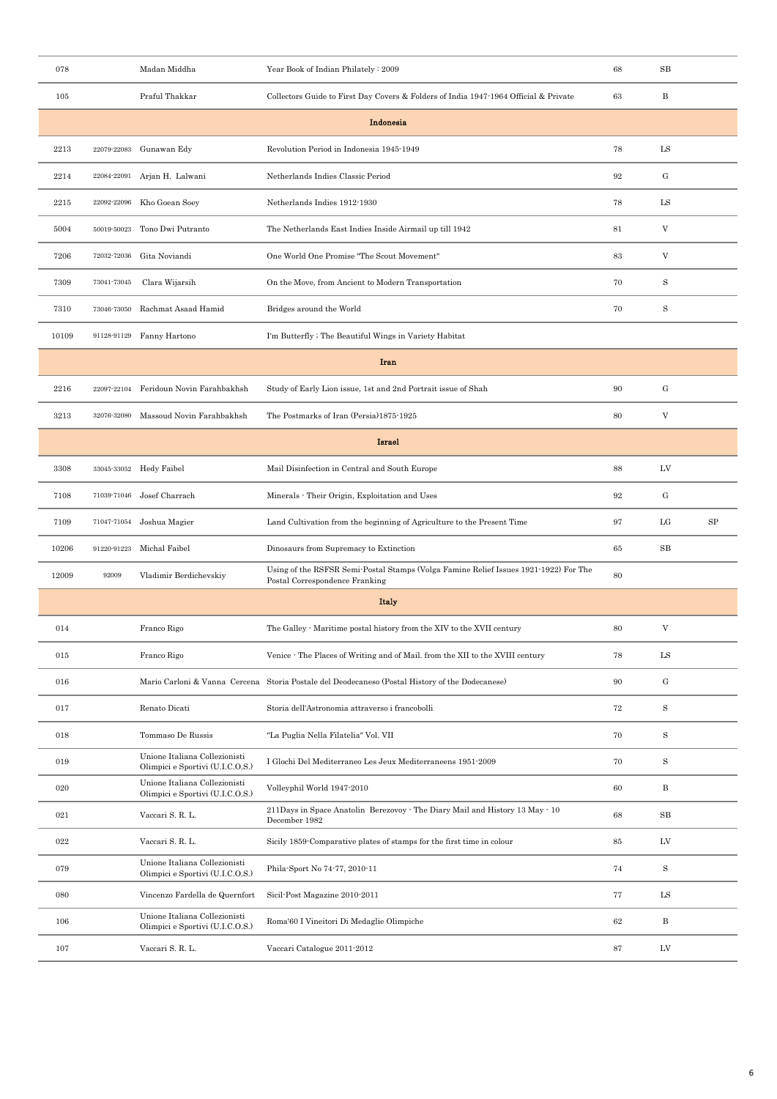| 078   |             | Madan Middha                                                      | Year Book of Indian Philately: 2009                                                                                    | 68       | $_{\rm SB}$                       |            |
|-------|-------------|-------------------------------------------------------------------|------------------------------------------------------------------------------------------------------------------------|----------|-----------------------------------|------------|
| 105   |             | Praful Thakkar                                                    | Collectors Guide to First Day Covers & Folders of India 1947-1964 Official & Private                                   | 63       | $\, {\bf B}$                      |            |
|       |             |                                                                   | Indonesia                                                                                                              |          |                                   |            |
| 2213  | 22079-22083 | Gunawan Edy                                                       | Revolution Period in Indonesia 1945-1949                                                                               | 78       | LS                                |            |
| 2214  |             | 22084-22091 Arjan H. Lalwani                                      | Netherlands Indies Classic Period                                                                                      | 92       | $\mathbf{G}% _{t}\left( t\right)$ |            |
| 2215  | 22092-22096 | Kho Goean Soey                                                    | Netherlands Indies 1912-1930                                                                                           | 78       | LS                                |            |
| 5004  | 50019-50023 | Tono Dwi Putranto                                                 | The Netherlands East Indies Inside Airmail up till 1942                                                                | 81       | V                                 |            |
| 7206  | 72032-72036 | Gita Noviandi                                                     | One World One Promise "The Scout Movement"                                                                             | 83       | $\ensuremath{\mathbf{V}}$         |            |
| 7309  | 73041-73045 | Clara Wijarsih                                                    | On the Move, from Ancient to Modern Transportation                                                                     | 70       | $\mathbf S$                       |            |
| 7310  | 73046-73050 | Rachmat Asaad Hamid                                               | Bridges around the World                                                                                               | 70       | S                                 |            |
| 10109 |             | 91128-91129 Fanny Hartono                                         | I'm Butterfly; The Beautiful Wings in Variety Habitat                                                                  |          |                                   |            |
|       |             |                                                                   | Iran                                                                                                                   |          |                                   |            |
| 2216  | 22097-22104 | Feridoun Novin Farahbakhsh                                        | Study of Early Lion issue, 1st and 2nd Portrait issue of Shah                                                          | 90       | $\mathbf{G}% _{t}\left( t\right)$ |            |
| 3213  | 32076-32080 | Massoud Novin Farahbakhsh                                         | The Postmarks of Iran (Persia)1875-1925                                                                                | 80       | V                                 |            |
|       |             |                                                                   | Israel                                                                                                                 |          |                                   |            |
| 3308  |             | 33045-33052 Hedy Faibel                                           | Mail Disinfection in Central and South Europe                                                                          | 88       | LV                                |            |
| 7108  |             | 71039-71046 Josef Charrach                                        | Minerals - Their Origin, Exploitation and Uses                                                                         | 92       | $\mathbf{G}% _{t}\left( t\right)$ |            |
| 7109  | 71047-71054 | Joshua Magier                                                     | Land Cultivation from the beginning of Agriculture to the Present Time                                                 | 97       | LG                                | ${\rm SP}$ |
| 10206 |             | 91220-91223 Michal Faibel                                         | Dinosaurs from Supremacy to Extinction                                                                                 | 65       | SB                                |            |
| 12009 | 92009       | Vladimir Berdichevskiy                                            | Using of the RSFSR Semi-Postal Stamps (Volga Famine Relief Issues 1921-1922) For The<br>Postal Correspondence Franking | 80       |                                   |            |
|       |             |                                                                   | <b>Italy</b>                                                                                                           |          |                                   |            |
| 014   |             | Franco Rigo                                                       | The Galley - Maritime postal history from the XIV to the XVII century                                                  | 80       | V                                 |            |
| 015   |             | Franco Rigo                                                       | Venice - The Places of Writing and of Mail. from the XII to the XVIII century                                          | 78       | $_{\rm LS}$                       |            |
| 016   |             |                                                                   | Mario Carloni & Vanna Cercena Storia Postale del Deodecaneso (Postal History of the Dodecanese)                        | 90       | $\mathbf{G}% _{t}\left( t\right)$ |            |
| 017   |             | Renato Dicati                                                     | Storia dell'Astronomia attraverso i francobolli                                                                        | $\!\!72$ | $\, {\bf S}$                      |            |
| 018   |             | Tommaso De Russis                                                 | "La Puglia Nella Filatelia" Vol. VII                                                                                   | 70       | S                                 |            |
| 019   |             | Unione Italiana Collezionisti<br>Olimpici e Sportivi (U.I.C.O.S.) | I Glochi Del Mediterraneo Les Jeux Mediterraneens 1951-2009                                                            | 70       | S                                 |            |
| 020   |             | Unione Italiana Collezionisti<br>Olimpici e Sportivi (U.I.C.O.S.) | Volleyphil World 1947-2010                                                                                             | 60       | $\, {\bf B}$                      |            |
| 021   |             | Vaccari S. R. L.                                                  | 211Days in Space Anatolin Berezovoy · The Diary Mail and History 13 May · 10<br>December 1982                          | 68       | $_{\rm SB}$                       |            |
| 022   |             | Vaccari S. R. L.                                                  | Sicily 1859 Comparative plates of stamps for the first time in colour                                                  | 85       | LV                                |            |
| 079   |             | Unione Italiana Collezionisti<br>Olimpici e Sportivi (U.I.C.O.S.) | Phila-Sport No 74-77, 2010-11                                                                                          | 74       | S                                 |            |
| 080   |             | Vincenzo Fardella de Quernfort                                    | Sicil-Post Magazine 2010-2011                                                                                          | 77       | ${\rm LS}$                        |            |
| 106   |             | Unione Italiana Collezionisti<br>Olimpici e Sportivi (U.I.C.O.S.) | Roma'60 I Vineitori Di Medaglie Olimpiche                                                                              | 62       | $\, {\bf B}$                      |            |
| 107   |             | Vaccari S. R. L.                                                  | Vaccari Catalogue 2011-2012                                                                                            | 87       | LV                                |            |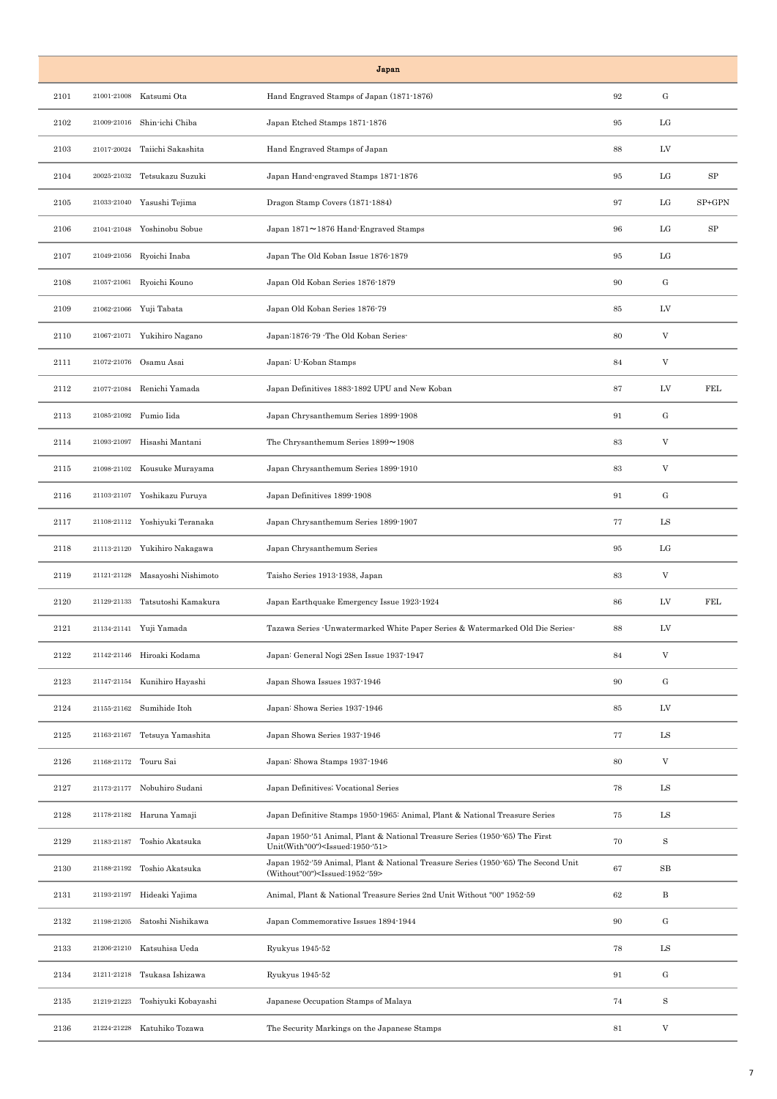|      |             |                                 | Japan                                                                                                                                   |        |                                   |                  |
|------|-------------|---------------------------------|-----------------------------------------------------------------------------------------------------------------------------------------|--------|-----------------------------------|------------------|
| 2101 | 21001-21008 | Katsumi Ota                     | Hand Engraved Stamps of Japan (1871-1876)                                                                                               | 92     | ${\rm G}$                         |                  |
| 2102 |             | 21009-21016 Shin-ichi Chiba     | Japan Etched Stamps 1871-1876                                                                                                           | 95     | LG                                |                  |
| 2103 |             | 21017-20024 Taiichi Sakashita   | Hand Engraved Stamps of Japan                                                                                                           | 88     | LV                                |                  |
| 2104 | 20025-21032 | Tetsukazu Suzuki                | Japan Hand-engraved Stamps 1871-1876                                                                                                    | 95     | LG                                | $_{\mathrm{SP}}$ |
| 2105 |             | 21033-21040 Yasushi Tejima      | Dragon Stamp Covers (1871-1884)                                                                                                         | 97     | LG                                | SP+GPN           |
| 2106 |             | 21041-21048 Yoshinobu Sobue     | Japan 1871~1876 Hand-Engraved Stamps                                                                                                    | 96     | LG                                | $_{\mathrm{SP}}$ |
| 2107 |             | 21049-21056 Ryoichi Inaba       | Japan The Old Koban Issue 1876-1879                                                                                                     | 95     | LG                                |                  |
| 2108 |             | 21057-21061 Ryoichi Kouno       | Japan Old Koban Series 1876-1879                                                                                                        | 90     | G                                 |                  |
| 2109 |             | 21062-21066 Yuji Tabata         | Japan Old Koban Series 1876-79                                                                                                          | 85     | LV                                |                  |
| 2110 |             | 21067-21071 Yukihiro Nagano     | Japan: 1876-79 - The Old Koban Series-                                                                                                  | 80     | $\mathbf V$                       |                  |
| 2111 | 21072-21076 | Osamu Asai                      | Japan: U-Koban Stamps                                                                                                                   | 84     | V                                 |                  |
| 2112 | 21077-21084 | Renichi Yamada                  | Japan Definitives 1883-1892 UPU and New Koban                                                                                           | 87     | LV                                | <b>FEL</b>       |
| 2113 |             | 21085-21092 Fumio Iida          | Japan Chrysanthemum Series 1899-1908                                                                                                    | 91     | $\mathbf{G}% _{t}\left( t\right)$ |                  |
| 2114 | 21093-21097 | Hisashi Mantani                 | The Chrysanthemum Series 1899~1908                                                                                                      | 83     | V                                 |                  |
| 2115 |             | 21098-21102 Kousuke Murayama    | Japan Chrysanthemum Series 1899-1910                                                                                                    | 83     | $\mathbf V$                       |                  |
| 2116 |             | 21103-21107 Yoshikazu Furuya    | Japan Definitives 1899-1908                                                                                                             | 91     | ${\bf G}$                         |                  |
| 2117 |             | 21108-21112 Yoshiyuki Teranaka  | Japan Chrysanthemum Series 1899-1907                                                                                                    | 77     | LS                                |                  |
| 2118 |             | 21113-21120 Yukihiro Nakagawa   | Japan Chrysanthemum Series                                                                                                              | 95     | LG                                |                  |
| 2119 | 21121-21128 | Masayoshi Nishimoto             | Taisho Series 1913-1938, Japan                                                                                                          | 83     | $\mathbf V$                       |                  |
| 2120 |             | 21129-21133 Tatsutoshi Kamakura | Japan Earthquake Emergency Issue 1923-1924                                                                                              | 86     | LV                                | FEL              |
| 2121 |             | 21134-21141 Yuji Yamada         | Tazawa Series -Unwatermarked White Paper Series & Watermarked Old Die Series-                                                           | 88     | LV                                |                  |
| 2122 |             | 21142-21146 Hiroaki Kodama      | Japan: General Nogi 2Sen Issue 1937-1947                                                                                                | 84     | $\ensuremath{\mathbf{V}}$         |                  |
| 2123 |             | 21147-21154 Kunihiro Hayashi    | Japan Showa Issues 1937-1946                                                                                                            | 90     | $\mathbf{G}% _{0}$                |                  |
| 2124 | 21155-21162 | Sumihide Itoh                   | Japan: Showa Series 1937-1946                                                                                                           | 85     | LV                                |                  |
| 2125 |             | 21163-21167 Tetsuya Yamashita   | Japan Showa Series 1937-1946                                                                                                            | 77     | ${\rm LS}$                        |                  |
| 2126 |             | 21168-21172 Touru Sai           | Japan: Showa Stamps 1937-1946                                                                                                           | 80     | V                                 |                  |
| 2127 |             | 21173-21177 Nobuhiro Sudani     | Japan Definitives; Vocational Series                                                                                                    | 78     | LS                                |                  |
| 2128 |             | 21178-21182 Haruna Yamaji       | Japan Definitive Stamps 1950-1965: Animal, Plant & National Treasure Series                                                             | 75     | $_{\rm LS}$                       |                  |
| 2129 | 21183-21187 | Toshio Akatsuka                 | Japan 1950-'51 Animal, Plant & National Treasure Series (1950-'65) The First<br>Unit(With"00") <issued:1950-'51></issued:1950-'51>      | 70     | S                                 |                  |
| 2130 |             | 21188-21192 Toshio Akatsuka     | Japan 1952-'59 Animal, Plant & National Treasure Series (1950-'65) The Second Unit<br>(Without"00") <issued:1952-'59></issued:1952-'59> | 67     | $_{\rm SB}$                       |                  |
| 2131 |             | 21193-21197 Hideaki Yajima      | Animal, Plant & National Treasure Series 2nd Unit Without "00" 1952-59                                                                  | 62     | В                                 |                  |
| 2132 | 21198-21205 | Satoshi Nishikawa               | Japan Commemorative Issues 1894-1944                                                                                                    | 90     | $\mathbf{G}% _{0}$                |                  |
| 2133 |             | 21206-21210 Katsuhisa Ueda      | Ryukyus 1945-52                                                                                                                         | 78     | ${\rm LS}$                        |                  |
| 2134 | 21211-21218 | Tsukasa Ishizawa                | Ryukyus 1945-52                                                                                                                         | 91     | $\mathbf{G}% _{0}$                |                  |
| 2135 | 21219-21223 | Toshiyuki Kobayashi             | Japanese Occupation Stamps of Malaya                                                                                                    | 74     | S                                 |                  |
| 2136 | 21224-21228 | Katuhiko Tozawa                 | The Security Markings on the Japanese Stamps                                                                                            | $81\,$ | V                                 |                  |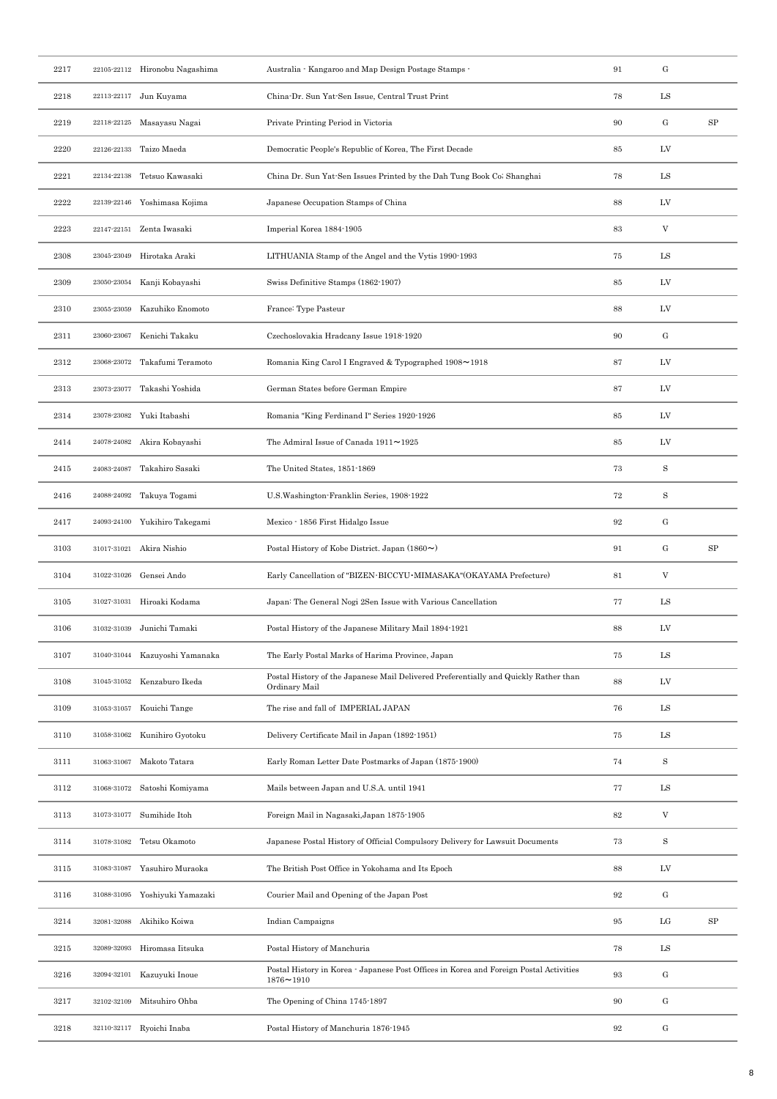| ${\rm G}$<br>2217<br>91<br>22105-22112 Hironobu Nagashima<br>Australia - Kangaroo and Map Design Postage Stamps -<br>78<br>$_{\rm LS}$<br>2218<br>22113-22117 Jun Kuyama<br>China-Dr. Sun Yat-Sen Issue, Central Trust Print<br>${\rm G}$<br>${\rm SP}$<br>Private Printing Period in Victoria<br>90<br>2219<br>22118-22125 Masayasu Nagai<br>LV<br>Taizo Maeda<br>Democratic People's Republic of Korea, The First Decade<br>2220<br>22126-22133<br>85<br>$_{\rm LS}$<br>2221<br>22134-22138<br>Tetsuo Kawasaki<br>China Dr. Sun Yat-Sen Issues Printed by the Dah Tung Book Co; Shanghai<br>78<br>Japanese Occupation Stamps of China<br>88<br>LV<br>2222<br>22139-22146 Yoshimasa Kojima<br>$\mathbf V$<br>2223<br>22147-22151 Zenta Iwasaki<br>Imperial Korea 1884-1905<br>83<br>${\rm LS}$<br>23045-23049<br>Hirotaka Araki<br>LITHUANIA Stamp of the Angel and the Vytis 1990-1993<br>75<br>2308<br>LV<br>23050-23054 Kanji Kobayashi<br>Swiss Definitive Stamps (1862-1907)<br>85<br>2309<br>Kazuhiko Enomoto<br>France: Type Pasteur<br>88<br>LV<br>2310<br>23055-23059<br>G<br>Kenichi Takaku<br>90<br>2311<br>23060-23067<br>Czechoslovakia Hradcany Issue 1918-1920<br>23068-23072 Takafumi Teramoto<br>Romania King Carol I Engraved & Typographed 1908~1918<br>87<br>LV<br>2312<br>Takashi Yoshida<br>German States before German Empire<br>87<br>LV<br>2313<br>23073-23077<br>LV<br>Romania "King Ferdinand I" Series 1920-1926<br>85<br>2314<br>23078-23082<br>Yuki Itabashi<br>LV<br>Akira Kobayashi<br>The Admiral Issue of Canada 1911~1925<br>$85\,$<br>2414<br>24078-24082<br>$\rm S$<br>Takahiro Sasaki<br>The United States, 1851-1869<br>73<br>2415<br>24083-24087<br>$\rm S$<br>U.S. Washington-Franklin Series, 1908-1922<br>72<br>2416<br>24088-24092<br>Takuya Togami<br>${\bf G}$<br>Yukihiro Takegami<br>92<br>2417<br>24093-24100<br>Mexico - 1856 First Hidalgo Issue<br>G<br>SP<br>91<br>3103<br>31017-31021 Akira Nishio<br>Postal History of Kobe District. Japan $(1860\sim)$<br>$\mathbf V$<br>31022-31026<br>Early Cancellation of "BIZEN·BICCYU·MIMASAKA" (OKAYAMA Prefecture)<br>81<br>3104<br>Gensei Ando<br>$_{\rm LS}$<br>Hiroaki Kodama<br>Japan: The General Nogi 2Sen Issue with Various Cancellation<br>77<br>3105<br>31027-31031<br>Postal History of the Japanese Military Mail 1894-1921<br>LV<br>3106<br>31032-31039 Junichi Tamaki<br>88<br>${\rm LS}$<br>3107<br>31040-31044 Kazuyoshi Yamanaka<br>The Early Postal Marks of Harima Province, Japan<br>75<br>Postal History of the Japanese Mail Delivered Preferentially and Quickly Rather than<br>88<br>LV<br>3108<br>31045-31052 Kenzaburo Ikeda<br>Ordinary Mail<br>${\rm LS}$<br>Kouichi Tange<br>The rise and fall of IMPERIAL JAPAN<br>76<br>3109<br>31053-31057<br>${\rm LS}$<br>Kunihiro Gyotoku<br>Delivery Certificate Mail in Japan (1892-1951)<br>75<br>3110<br>31058-31062<br>$\rm S$<br>Makoto Tatara<br>Early Roman Letter Date Postmarks of Japan (1875-1900)<br>74<br>3111<br>31063-31067<br>$_{\rm LS}$<br>Satoshi Komiyama<br>Mails between Japan and U.S.A. until 1941<br>77<br>3112<br>31068-31072<br>$\ensuremath{\mathbf{V}}$<br>Sumihide Itoh<br>$82\,$<br>3113<br>31073-31077<br>Foreign Mail in Nagasaki, Japan 1875-1905<br>$\rm S$<br>31078-31082<br>Tetsu Okamoto<br>Japanese Postal History of Official Compulsory Delivery for Lawsuit Documents<br>73<br>3114<br>88<br>Yasuhiro Muraoka<br>The British Post Office in Yokohama and Its Epoch<br>LV<br>3115<br>31083-31087<br>${\rm G}$<br>31088-31095 Yoshiyuki Yamazaki<br>Courier Mail and Opening of the Japan Post<br>92<br>3116<br>$_{\rm LG}$<br>${\rm SP}$<br>Akihiko Koiwa<br>95<br>3214<br>32081-32088<br>Indian Campaigns<br>$_{\rm LS}$<br>32089-32093 Hiromasa Iitsuka<br>Postal History of Manchuria<br>78<br>3215<br>Postal History in Korea - Japanese Post Offices in Korea and Foreign Postal Activities<br>${\rm G}$<br>$\boldsymbol{93}$<br>3216<br>32094-32101<br>Kazuyuki Inoue<br>1876~1910<br>$\mathbf{G}% _{t}\left( t\right)$<br>Mitsuhiro Ohba<br>The Opening of China 1745-1897<br>90<br>3217<br>32102-32109<br>${\bf G}$<br>32110-32117 Ryoichi Inaba<br>Postal History of Manchuria 1876-1945<br>92<br>3218 |  |  |  |  |
|--------------------------------------------------------------------------------------------------------------------------------------------------------------------------------------------------------------------------------------------------------------------------------------------------------------------------------------------------------------------------------------------------------------------------------------------------------------------------------------------------------------------------------------------------------------------------------------------------------------------------------------------------------------------------------------------------------------------------------------------------------------------------------------------------------------------------------------------------------------------------------------------------------------------------------------------------------------------------------------------------------------------------------------------------------------------------------------------------------------------------------------------------------------------------------------------------------------------------------------------------------------------------------------------------------------------------------------------------------------------------------------------------------------------------------------------------------------------------------------------------------------------------------------------------------------------------------------------------------------------------------------------------------------------------------------------------------------------------------------------------------------------------------------------------------------------------------------------------------------------------------------------------------------------------------------------------------------------------------------------------------------------------------------------------------------------------------------------------------------------------------------------------------------------------------------------------------------------------------------------------------------------------------------------------------------------------------------------------------------------------------------------------------------------------------------------------------------------------------------------------------------------------------------------------------------------------------------------------------------------------------------------------------------------------------------------------------------------------------------------------------------------------------------------------------------------------------------------------------------------------------------------------------------------------------------------------------------------------------------------------------------------------------------------------------------------------------------------------------------------------------------------------------------------------------------------------------------------------------------------------------------------------------------------------------------------------------------------------------------------------------------------------------------------------------------------------------------------------------------------------------------------------------------------------------------------------------------------------------------------------------------------------------------------------------------------------------------------------------------------------------------------------------------------------------------------------------------------------------------------------------------------------------------------------------------------------------------------------------------------------------------------------------------------------------------------------------------------------------------------------------------------------------------------------------------------------------------------------------|--|--|--|--|
|                                                                                                                                                                                                                                                                                                                                                                                                                                                                                                                                                                                                                                                                                                                                                                                                                                                                                                                                                                                                                                                                                                                                                                                                                                                                                                                                                                                                                                                                                                                                                                                                                                                                                                                                                                                                                                                                                                                                                                                                                                                                                                                                                                                                                                                                                                                                                                                                                                                                                                                                                                                                                                                                                                                                                                                                                                                                                                                                                                                                                                                                                                                                                                                                                                                                                                                                                                                                                                                                                                                                                                                                                                                                                                                                                                                                                                                                                                                                                                                                                                                                                                                                                                                                                                |  |  |  |  |
|                                                                                                                                                                                                                                                                                                                                                                                                                                                                                                                                                                                                                                                                                                                                                                                                                                                                                                                                                                                                                                                                                                                                                                                                                                                                                                                                                                                                                                                                                                                                                                                                                                                                                                                                                                                                                                                                                                                                                                                                                                                                                                                                                                                                                                                                                                                                                                                                                                                                                                                                                                                                                                                                                                                                                                                                                                                                                                                                                                                                                                                                                                                                                                                                                                                                                                                                                                                                                                                                                                                                                                                                                                                                                                                                                                                                                                                                                                                                                                                                                                                                                                                                                                                                                                |  |  |  |  |
|                                                                                                                                                                                                                                                                                                                                                                                                                                                                                                                                                                                                                                                                                                                                                                                                                                                                                                                                                                                                                                                                                                                                                                                                                                                                                                                                                                                                                                                                                                                                                                                                                                                                                                                                                                                                                                                                                                                                                                                                                                                                                                                                                                                                                                                                                                                                                                                                                                                                                                                                                                                                                                                                                                                                                                                                                                                                                                                                                                                                                                                                                                                                                                                                                                                                                                                                                                                                                                                                                                                                                                                                                                                                                                                                                                                                                                                                                                                                                                                                                                                                                                                                                                                                                                |  |  |  |  |
|                                                                                                                                                                                                                                                                                                                                                                                                                                                                                                                                                                                                                                                                                                                                                                                                                                                                                                                                                                                                                                                                                                                                                                                                                                                                                                                                                                                                                                                                                                                                                                                                                                                                                                                                                                                                                                                                                                                                                                                                                                                                                                                                                                                                                                                                                                                                                                                                                                                                                                                                                                                                                                                                                                                                                                                                                                                                                                                                                                                                                                                                                                                                                                                                                                                                                                                                                                                                                                                                                                                                                                                                                                                                                                                                                                                                                                                                                                                                                                                                                                                                                                                                                                                                                                |  |  |  |  |
|                                                                                                                                                                                                                                                                                                                                                                                                                                                                                                                                                                                                                                                                                                                                                                                                                                                                                                                                                                                                                                                                                                                                                                                                                                                                                                                                                                                                                                                                                                                                                                                                                                                                                                                                                                                                                                                                                                                                                                                                                                                                                                                                                                                                                                                                                                                                                                                                                                                                                                                                                                                                                                                                                                                                                                                                                                                                                                                                                                                                                                                                                                                                                                                                                                                                                                                                                                                                                                                                                                                                                                                                                                                                                                                                                                                                                                                                                                                                                                                                                                                                                                                                                                                                                                |  |  |  |  |
|                                                                                                                                                                                                                                                                                                                                                                                                                                                                                                                                                                                                                                                                                                                                                                                                                                                                                                                                                                                                                                                                                                                                                                                                                                                                                                                                                                                                                                                                                                                                                                                                                                                                                                                                                                                                                                                                                                                                                                                                                                                                                                                                                                                                                                                                                                                                                                                                                                                                                                                                                                                                                                                                                                                                                                                                                                                                                                                                                                                                                                                                                                                                                                                                                                                                                                                                                                                                                                                                                                                                                                                                                                                                                                                                                                                                                                                                                                                                                                                                                                                                                                                                                                                                                                |  |  |  |  |
|                                                                                                                                                                                                                                                                                                                                                                                                                                                                                                                                                                                                                                                                                                                                                                                                                                                                                                                                                                                                                                                                                                                                                                                                                                                                                                                                                                                                                                                                                                                                                                                                                                                                                                                                                                                                                                                                                                                                                                                                                                                                                                                                                                                                                                                                                                                                                                                                                                                                                                                                                                                                                                                                                                                                                                                                                                                                                                                                                                                                                                                                                                                                                                                                                                                                                                                                                                                                                                                                                                                                                                                                                                                                                                                                                                                                                                                                                                                                                                                                                                                                                                                                                                                                                                |  |  |  |  |
|                                                                                                                                                                                                                                                                                                                                                                                                                                                                                                                                                                                                                                                                                                                                                                                                                                                                                                                                                                                                                                                                                                                                                                                                                                                                                                                                                                                                                                                                                                                                                                                                                                                                                                                                                                                                                                                                                                                                                                                                                                                                                                                                                                                                                                                                                                                                                                                                                                                                                                                                                                                                                                                                                                                                                                                                                                                                                                                                                                                                                                                                                                                                                                                                                                                                                                                                                                                                                                                                                                                                                                                                                                                                                                                                                                                                                                                                                                                                                                                                                                                                                                                                                                                                                                |  |  |  |  |
|                                                                                                                                                                                                                                                                                                                                                                                                                                                                                                                                                                                                                                                                                                                                                                                                                                                                                                                                                                                                                                                                                                                                                                                                                                                                                                                                                                                                                                                                                                                                                                                                                                                                                                                                                                                                                                                                                                                                                                                                                                                                                                                                                                                                                                                                                                                                                                                                                                                                                                                                                                                                                                                                                                                                                                                                                                                                                                                                                                                                                                                                                                                                                                                                                                                                                                                                                                                                                                                                                                                                                                                                                                                                                                                                                                                                                                                                                                                                                                                                                                                                                                                                                                                                                                |  |  |  |  |
|                                                                                                                                                                                                                                                                                                                                                                                                                                                                                                                                                                                                                                                                                                                                                                                                                                                                                                                                                                                                                                                                                                                                                                                                                                                                                                                                                                                                                                                                                                                                                                                                                                                                                                                                                                                                                                                                                                                                                                                                                                                                                                                                                                                                                                                                                                                                                                                                                                                                                                                                                                                                                                                                                                                                                                                                                                                                                                                                                                                                                                                                                                                                                                                                                                                                                                                                                                                                                                                                                                                                                                                                                                                                                                                                                                                                                                                                                                                                                                                                                                                                                                                                                                                                                                |  |  |  |  |
|                                                                                                                                                                                                                                                                                                                                                                                                                                                                                                                                                                                                                                                                                                                                                                                                                                                                                                                                                                                                                                                                                                                                                                                                                                                                                                                                                                                                                                                                                                                                                                                                                                                                                                                                                                                                                                                                                                                                                                                                                                                                                                                                                                                                                                                                                                                                                                                                                                                                                                                                                                                                                                                                                                                                                                                                                                                                                                                                                                                                                                                                                                                                                                                                                                                                                                                                                                                                                                                                                                                                                                                                                                                                                                                                                                                                                                                                                                                                                                                                                                                                                                                                                                                                                                |  |  |  |  |
|                                                                                                                                                                                                                                                                                                                                                                                                                                                                                                                                                                                                                                                                                                                                                                                                                                                                                                                                                                                                                                                                                                                                                                                                                                                                                                                                                                                                                                                                                                                                                                                                                                                                                                                                                                                                                                                                                                                                                                                                                                                                                                                                                                                                                                                                                                                                                                                                                                                                                                                                                                                                                                                                                                                                                                                                                                                                                                                                                                                                                                                                                                                                                                                                                                                                                                                                                                                                                                                                                                                                                                                                                                                                                                                                                                                                                                                                                                                                                                                                                                                                                                                                                                                                                                |  |  |  |  |
|                                                                                                                                                                                                                                                                                                                                                                                                                                                                                                                                                                                                                                                                                                                                                                                                                                                                                                                                                                                                                                                                                                                                                                                                                                                                                                                                                                                                                                                                                                                                                                                                                                                                                                                                                                                                                                                                                                                                                                                                                                                                                                                                                                                                                                                                                                                                                                                                                                                                                                                                                                                                                                                                                                                                                                                                                                                                                                                                                                                                                                                                                                                                                                                                                                                                                                                                                                                                                                                                                                                                                                                                                                                                                                                                                                                                                                                                                                                                                                                                                                                                                                                                                                                                                                |  |  |  |  |
|                                                                                                                                                                                                                                                                                                                                                                                                                                                                                                                                                                                                                                                                                                                                                                                                                                                                                                                                                                                                                                                                                                                                                                                                                                                                                                                                                                                                                                                                                                                                                                                                                                                                                                                                                                                                                                                                                                                                                                                                                                                                                                                                                                                                                                                                                                                                                                                                                                                                                                                                                                                                                                                                                                                                                                                                                                                                                                                                                                                                                                                                                                                                                                                                                                                                                                                                                                                                                                                                                                                                                                                                                                                                                                                                                                                                                                                                                                                                                                                                                                                                                                                                                                                                                                |  |  |  |  |
|                                                                                                                                                                                                                                                                                                                                                                                                                                                                                                                                                                                                                                                                                                                                                                                                                                                                                                                                                                                                                                                                                                                                                                                                                                                                                                                                                                                                                                                                                                                                                                                                                                                                                                                                                                                                                                                                                                                                                                                                                                                                                                                                                                                                                                                                                                                                                                                                                                                                                                                                                                                                                                                                                                                                                                                                                                                                                                                                                                                                                                                                                                                                                                                                                                                                                                                                                                                                                                                                                                                                                                                                                                                                                                                                                                                                                                                                                                                                                                                                                                                                                                                                                                                                                                |  |  |  |  |
|                                                                                                                                                                                                                                                                                                                                                                                                                                                                                                                                                                                                                                                                                                                                                                                                                                                                                                                                                                                                                                                                                                                                                                                                                                                                                                                                                                                                                                                                                                                                                                                                                                                                                                                                                                                                                                                                                                                                                                                                                                                                                                                                                                                                                                                                                                                                                                                                                                                                                                                                                                                                                                                                                                                                                                                                                                                                                                                                                                                                                                                                                                                                                                                                                                                                                                                                                                                                                                                                                                                                                                                                                                                                                                                                                                                                                                                                                                                                                                                                                                                                                                                                                                                                                                |  |  |  |  |
|                                                                                                                                                                                                                                                                                                                                                                                                                                                                                                                                                                                                                                                                                                                                                                                                                                                                                                                                                                                                                                                                                                                                                                                                                                                                                                                                                                                                                                                                                                                                                                                                                                                                                                                                                                                                                                                                                                                                                                                                                                                                                                                                                                                                                                                                                                                                                                                                                                                                                                                                                                                                                                                                                                                                                                                                                                                                                                                                                                                                                                                                                                                                                                                                                                                                                                                                                                                                                                                                                                                                                                                                                                                                                                                                                                                                                                                                                                                                                                                                                                                                                                                                                                                                                                |  |  |  |  |
|                                                                                                                                                                                                                                                                                                                                                                                                                                                                                                                                                                                                                                                                                                                                                                                                                                                                                                                                                                                                                                                                                                                                                                                                                                                                                                                                                                                                                                                                                                                                                                                                                                                                                                                                                                                                                                                                                                                                                                                                                                                                                                                                                                                                                                                                                                                                                                                                                                                                                                                                                                                                                                                                                                                                                                                                                                                                                                                                                                                                                                                                                                                                                                                                                                                                                                                                                                                                                                                                                                                                                                                                                                                                                                                                                                                                                                                                                                                                                                                                                                                                                                                                                                                                                                |  |  |  |  |
|                                                                                                                                                                                                                                                                                                                                                                                                                                                                                                                                                                                                                                                                                                                                                                                                                                                                                                                                                                                                                                                                                                                                                                                                                                                                                                                                                                                                                                                                                                                                                                                                                                                                                                                                                                                                                                                                                                                                                                                                                                                                                                                                                                                                                                                                                                                                                                                                                                                                                                                                                                                                                                                                                                                                                                                                                                                                                                                                                                                                                                                                                                                                                                                                                                                                                                                                                                                                                                                                                                                                                                                                                                                                                                                                                                                                                                                                                                                                                                                                                                                                                                                                                                                                                                |  |  |  |  |
|                                                                                                                                                                                                                                                                                                                                                                                                                                                                                                                                                                                                                                                                                                                                                                                                                                                                                                                                                                                                                                                                                                                                                                                                                                                                                                                                                                                                                                                                                                                                                                                                                                                                                                                                                                                                                                                                                                                                                                                                                                                                                                                                                                                                                                                                                                                                                                                                                                                                                                                                                                                                                                                                                                                                                                                                                                                                                                                                                                                                                                                                                                                                                                                                                                                                                                                                                                                                                                                                                                                                                                                                                                                                                                                                                                                                                                                                                                                                                                                                                                                                                                                                                                                                                                |  |  |  |  |
|                                                                                                                                                                                                                                                                                                                                                                                                                                                                                                                                                                                                                                                                                                                                                                                                                                                                                                                                                                                                                                                                                                                                                                                                                                                                                                                                                                                                                                                                                                                                                                                                                                                                                                                                                                                                                                                                                                                                                                                                                                                                                                                                                                                                                                                                                                                                                                                                                                                                                                                                                                                                                                                                                                                                                                                                                                                                                                                                                                                                                                                                                                                                                                                                                                                                                                                                                                                                                                                                                                                                                                                                                                                                                                                                                                                                                                                                                                                                                                                                                                                                                                                                                                                                                                |  |  |  |  |
|                                                                                                                                                                                                                                                                                                                                                                                                                                                                                                                                                                                                                                                                                                                                                                                                                                                                                                                                                                                                                                                                                                                                                                                                                                                                                                                                                                                                                                                                                                                                                                                                                                                                                                                                                                                                                                                                                                                                                                                                                                                                                                                                                                                                                                                                                                                                                                                                                                                                                                                                                                                                                                                                                                                                                                                                                                                                                                                                                                                                                                                                                                                                                                                                                                                                                                                                                                                                                                                                                                                                                                                                                                                                                                                                                                                                                                                                                                                                                                                                                                                                                                                                                                                                                                |  |  |  |  |
|                                                                                                                                                                                                                                                                                                                                                                                                                                                                                                                                                                                                                                                                                                                                                                                                                                                                                                                                                                                                                                                                                                                                                                                                                                                                                                                                                                                                                                                                                                                                                                                                                                                                                                                                                                                                                                                                                                                                                                                                                                                                                                                                                                                                                                                                                                                                                                                                                                                                                                                                                                                                                                                                                                                                                                                                                                                                                                                                                                                                                                                                                                                                                                                                                                                                                                                                                                                                                                                                                                                                                                                                                                                                                                                                                                                                                                                                                                                                                                                                                                                                                                                                                                                                                                |  |  |  |  |
|                                                                                                                                                                                                                                                                                                                                                                                                                                                                                                                                                                                                                                                                                                                                                                                                                                                                                                                                                                                                                                                                                                                                                                                                                                                                                                                                                                                                                                                                                                                                                                                                                                                                                                                                                                                                                                                                                                                                                                                                                                                                                                                                                                                                                                                                                                                                                                                                                                                                                                                                                                                                                                                                                                                                                                                                                                                                                                                                                                                                                                                                                                                                                                                                                                                                                                                                                                                                                                                                                                                                                                                                                                                                                                                                                                                                                                                                                                                                                                                                                                                                                                                                                                                                                                |  |  |  |  |
|                                                                                                                                                                                                                                                                                                                                                                                                                                                                                                                                                                                                                                                                                                                                                                                                                                                                                                                                                                                                                                                                                                                                                                                                                                                                                                                                                                                                                                                                                                                                                                                                                                                                                                                                                                                                                                                                                                                                                                                                                                                                                                                                                                                                                                                                                                                                                                                                                                                                                                                                                                                                                                                                                                                                                                                                                                                                                                                                                                                                                                                                                                                                                                                                                                                                                                                                                                                                                                                                                                                                                                                                                                                                                                                                                                                                                                                                                                                                                                                                                                                                                                                                                                                                                                |  |  |  |  |
|                                                                                                                                                                                                                                                                                                                                                                                                                                                                                                                                                                                                                                                                                                                                                                                                                                                                                                                                                                                                                                                                                                                                                                                                                                                                                                                                                                                                                                                                                                                                                                                                                                                                                                                                                                                                                                                                                                                                                                                                                                                                                                                                                                                                                                                                                                                                                                                                                                                                                                                                                                                                                                                                                                                                                                                                                                                                                                                                                                                                                                                                                                                                                                                                                                                                                                                                                                                                                                                                                                                                                                                                                                                                                                                                                                                                                                                                                                                                                                                                                                                                                                                                                                                                                                |  |  |  |  |
|                                                                                                                                                                                                                                                                                                                                                                                                                                                                                                                                                                                                                                                                                                                                                                                                                                                                                                                                                                                                                                                                                                                                                                                                                                                                                                                                                                                                                                                                                                                                                                                                                                                                                                                                                                                                                                                                                                                                                                                                                                                                                                                                                                                                                                                                                                                                                                                                                                                                                                                                                                                                                                                                                                                                                                                                                                                                                                                                                                                                                                                                                                                                                                                                                                                                                                                                                                                                                                                                                                                                                                                                                                                                                                                                                                                                                                                                                                                                                                                                                                                                                                                                                                                                                                |  |  |  |  |
|                                                                                                                                                                                                                                                                                                                                                                                                                                                                                                                                                                                                                                                                                                                                                                                                                                                                                                                                                                                                                                                                                                                                                                                                                                                                                                                                                                                                                                                                                                                                                                                                                                                                                                                                                                                                                                                                                                                                                                                                                                                                                                                                                                                                                                                                                                                                                                                                                                                                                                                                                                                                                                                                                                                                                                                                                                                                                                                                                                                                                                                                                                                                                                                                                                                                                                                                                                                                                                                                                                                                                                                                                                                                                                                                                                                                                                                                                                                                                                                                                                                                                                                                                                                                                                |  |  |  |  |
|                                                                                                                                                                                                                                                                                                                                                                                                                                                                                                                                                                                                                                                                                                                                                                                                                                                                                                                                                                                                                                                                                                                                                                                                                                                                                                                                                                                                                                                                                                                                                                                                                                                                                                                                                                                                                                                                                                                                                                                                                                                                                                                                                                                                                                                                                                                                                                                                                                                                                                                                                                                                                                                                                                                                                                                                                                                                                                                                                                                                                                                                                                                                                                                                                                                                                                                                                                                                                                                                                                                                                                                                                                                                                                                                                                                                                                                                                                                                                                                                                                                                                                                                                                                                                                |  |  |  |  |
|                                                                                                                                                                                                                                                                                                                                                                                                                                                                                                                                                                                                                                                                                                                                                                                                                                                                                                                                                                                                                                                                                                                                                                                                                                                                                                                                                                                                                                                                                                                                                                                                                                                                                                                                                                                                                                                                                                                                                                                                                                                                                                                                                                                                                                                                                                                                                                                                                                                                                                                                                                                                                                                                                                                                                                                                                                                                                                                                                                                                                                                                                                                                                                                                                                                                                                                                                                                                                                                                                                                                                                                                                                                                                                                                                                                                                                                                                                                                                                                                                                                                                                                                                                                                                                |  |  |  |  |
|                                                                                                                                                                                                                                                                                                                                                                                                                                                                                                                                                                                                                                                                                                                                                                                                                                                                                                                                                                                                                                                                                                                                                                                                                                                                                                                                                                                                                                                                                                                                                                                                                                                                                                                                                                                                                                                                                                                                                                                                                                                                                                                                                                                                                                                                                                                                                                                                                                                                                                                                                                                                                                                                                                                                                                                                                                                                                                                                                                                                                                                                                                                                                                                                                                                                                                                                                                                                                                                                                                                                                                                                                                                                                                                                                                                                                                                                                                                                                                                                                                                                                                                                                                                                                                |  |  |  |  |
|                                                                                                                                                                                                                                                                                                                                                                                                                                                                                                                                                                                                                                                                                                                                                                                                                                                                                                                                                                                                                                                                                                                                                                                                                                                                                                                                                                                                                                                                                                                                                                                                                                                                                                                                                                                                                                                                                                                                                                                                                                                                                                                                                                                                                                                                                                                                                                                                                                                                                                                                                                                                                                                                                                                                                                                                                                                                                                                                                                                                                                                                                                                                                                                                                                                                                                                                                                                                                                                                                                                                                                                                                                                                                                                                                                                                                                                                                                                                                                                                                                                                                                                                                                                                                                |  |  |  |  |
|                                                                                                                                                                                                                                                                                                                                                                                                                                                                                                                                                                                                                                                                                                                                                                                                                                                                                                                                                                                                                                                                                                                                                                                                                                                                                                                                                                                                                                                                                                                                                                                                                                                                                                                                                                                                                                                                                                                                                                                                                                                                                                                                                                                                                                                                                                                                                                                                                                                                                                                                                                                                                                                                                                                                                                                                                                                                                                                                                                                                                                                                                                                                                                                                                                                                                                                                                                                                                                                                                                                                                                                                                                                                                                                                                                                                                                                                                                                                                                                                                                                                                                                                                                                                                                |  |  |  |  |
|                                                                                                                                                                                                                                                                                                                                                                                                                                                                                                                                                                                                                                                                                                                                                                                                                                                                                                                                                                                                                                                                                                                                                                                                                                                                                                                                                                                                                                                                                                                                                                                                                                                                                                                                                                                                                                                                                                                                                                                                                                                                                                                                                                                                                                                                                                                                                                                                                                                                                                                                                                                                                                                                                                                                                                                                                                                                                                                                                                                                                                                                                                                                                                                                                                                                                                                                                                                                                                                                                                                                                                                                                                                                                                                                                                                                                                                                                                                                                                                                                                                                                                                                                                                                                                |  |  |  |  |
|                                                                                                                                                                                                                                                                                                                                                                                                                                                                                                                                                                                                                                                                                                                                                                                                                                                                                                                                                                                                                                                                                                                                                                                                                                                                                                                                                                                                                                                                                                                                                                                                                                                                                                                                                                                                                                                                                                                                                                                                                                                                                                                                                                                                                                                                                                                                                                                                                                                                                                                                                                                                                                                                                                                                                                                                                                                                                                                                                                                                                                                                                                                                                                                                                                                                                                                                                                                                                                                                                                                                                                                                                                                                                                                                                                                                                                                                                                                                                                                                                                                                                                                                                                                                                                |  |  |  |  |
|                                                                                                                                                                                                                                                                                                                                                                                                                                                                                                                                                                                                                                                                                                                                                                                                                                                                                                                                                                                                                                                                                                                                                                                                                                                                                                                                                                                                                                                                                                                                                                                                                                                                                                                                                                                                                                                                                                                                                                                                                                                                                                                                                                                                                                                                                                                                                                                                                                                                                                                                                                                                                                                                                                                                                                                                                                                                                                                                                                                                                                                                                                                                                                                                                                                                                                                                                                                                                                                                                                                                                                                                                                                                                                                                                                                                                                                                                                                                                                                                                                                                                                                                                                                                                                |  |  |  |  |
|                                                                                                                                                                                                                                                                                                                                                                                                                                                                                                                                                                                                                                                                                                                                                                                                                                                                                                                                                                                                                                                                                                                                                                                                                                                                                                                                                                                                                                                                                                                                                                                                                                                                                                                                                                                                                                                                                                                                                                                                                                                                                                                                                                                                                                                                                                                                                                                                                                                                                                                                                                                                                                                                                                                                                                                                                                                                                                                                                                                                                                                                                                                                                                                                                                                                                                                                                                                                                                                                                                                                                                                                                                                                                                                                                                                                                                                                                                                                                                                                                                                                                                                                                                                                                                |  |  |  |  |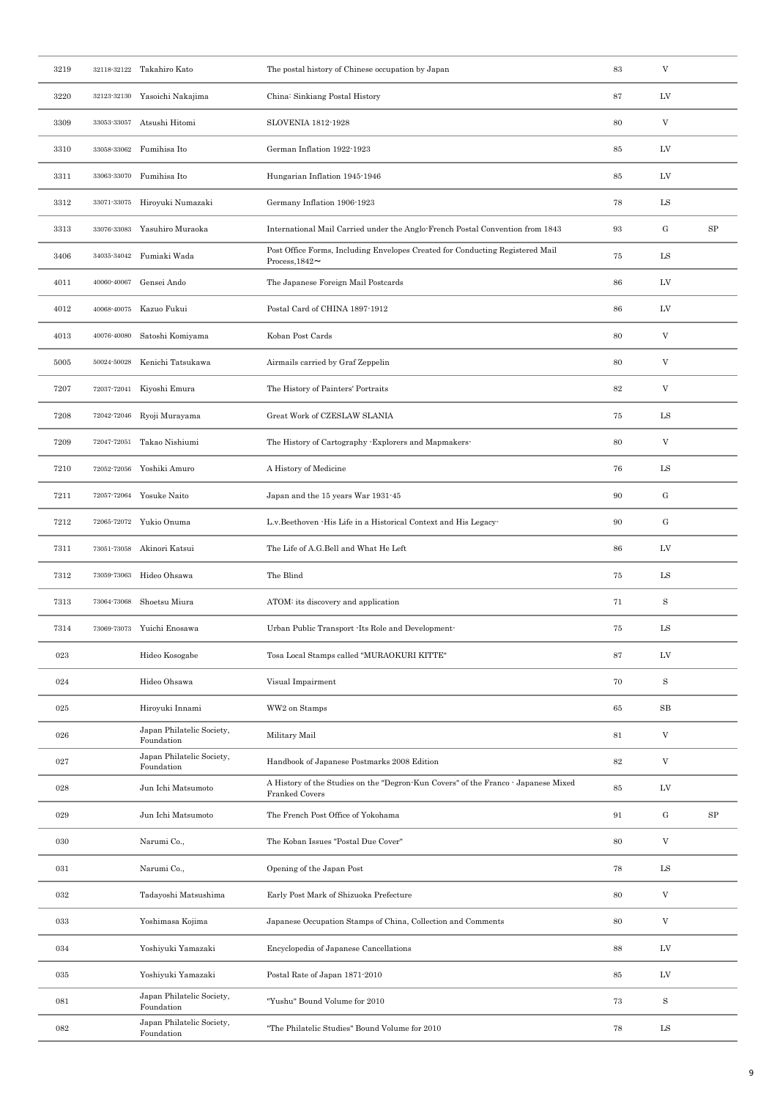| 3219 |             | 32118-32122 Takahiro Kato               | The postal history of Chinese occupation by Japan                                                     | 83     | $\ensuremath{\mathbf{V}}$ |            |
|------|-------------|-----------------------------------------|-------------------------------------------------------------------------------------------------------|--------|---------------------------|------------|
| 3220 |             | 32123-32130 Yasoichi Nakajima           | China: Sinkiang Postal History                                                                        | 87     | LV                        |            |
| 3309 |             | 33053-33057 Atsushi Hitomi              | SLOVENIA 1812-1928                                                                                    | 80     | $\mathbf V$               |            |
| 3310 | 33058-33062 | Fumihisa Ito                            | German Inflation 1922-1923                                                                            | 85     | LV                        |            |
| 3311 | 33063-33070 | Fumihisa Ito                            | Hungarian Inflation 1945-1946                                                                         | 85     | LV                        |            |
| 3312 | 33071-33075 | Hiroyuki Numazaki                       | Germany Inflation 1906-1923                                                                           | 78     | LS                        |            |
| 3313 | 33076-33083 | Yasuhiro Muraoka                        | International Mail Carried under the Anglo-French Postal Convention from 1843                         | 93     | ${\bf G}$                 | SP         |
| 3406 |             | 34035-34042 Fumiaki Wada                | Post Office Forms, Including Envelopes Created for Conducting Registered Mail<br>Process, $1842 \sim$ | 75     | LS                        |            |
| 4011 | 40060-40067 | Gensei Ando                             | The Japanese Foreign Mail Postcards                                                                   | 86     | LV                        |            |
| 4012 | 40068-40075 | Kazuo Fukui                             | Postal Card of CHINA 1897-1912                                                                        | 86     | ${\rm LV}$                |            |
| 4013 | 40076-40080 | Satoshi Komiyama                        | Koban Post Cards                                                                                      | 80     | $\ensuremath{\mathbf{V}}$ |            |
| 5005 |             | 50024-50028 Kenichi Tatsukawa           | Airmails carried by Graf Zeppelin                                                                     | 80     | V                         |            |
| 7207 |             | 72037-72041 Kiyoshi Emura               | The History of Painters' Portraits                                                                    | $82\,$ | $\mathbf V$               |            |
| 7208 | 72042-72046 | Ryoji Murayama                          | Great Work of CZESLAW SLANIA                                                                          | 75     | ${\rm LS}$                |            |
| 7209 |             | 72047-72051 Takao Nishiumi              | The History of Cartography - Explorers and Mapmakers-                                                 | 80     | $\rm{V}$                  |            |
| 7210 | 72052-72056 | Yoshiki Amuro                           | A History of Medicine                                                                                 | 76     | LS                        |            |
| 7211 |             | 72057-72064 Yosuke Naito                | Japan and the 15 years War 1931-45                                                                    | 90     | ${\bf G}$                 |            |
| 7212 |             | 72065-72072 Yukio Onuma                 | L.v.Beethoven - His Life in a Historical Context and His Legacy-                                      | 90     | ${\bf G}$                 |            |
| 7311 |             | 73051-73058 Akinori Katsui              | The Life of A.G.Bell and What He Left                                                                 | 86     | LV                        |            |
| 7312 | 73059-73063 | Hideo Ohsawa                            | The Blind                                                                                             | 75     | ${\rm LS}$                |            |
| 7313 | 73064-73068 | Shoetsu Miura                           | ATOM: its discovery and application                                                                   | 71     | $\mathbf S$               |            |
| 7314 |             | 73069-73073 Yuichi Enosawa              | Urban Public Transport -Its Role and Development-                                                     | 75     | LS                        |            |
| 023  |             | Hideo Kosogabe                          | Tosa Local Stamps called "MURAOKURI KITTE"                                                            | 87     | LV                        |            |
| 024  |             | Hideo Ohsawa                            | Visual Impairment                                                                                     | 70     | $\mathbf S$               |            |
| 025  |             | Hiroyuki Innami                         | WW2 on Stamps                                                                                         | 65     | SB                        |            |
| 026  |             | Japan Philatelic Society,<br>Foundation | Military Mail                                                                                         | $81\,$ | V                         |            |
| 027  |             | Japan Philatelic Society,<br>Foundation | Handbook of Japanese Postmarks 2008 Edition                                                           | $82\,$ | V                         |            |
| 028  |             | Jun Ichi Matsumoto                      | A History of the Studies on the "Degron-Kun Covers" of the Franco - Japanese Mixed<br>Franked Covers  | 85     | LV                        |            |
| 029  |             | Jun Ichi Matsumoto                      | The French Post Office of Yokohama                                                                    | 91     | ${\rm G}$                 | ${\rm SP}$ |
| 030  |             | Narumi Co.,                             | The Koban Issues "Postal Due Cover"                                                                   | 80     | V                         |            |
| 031  |             | Narumi Co.,                             | Opening of the Japan Post                                                                             | 78     | ${\rm LS}$                |            |
| 032  |             | Tadayoshi Matsushima                    | Early Post Mark of Shizuoka Prefecture                                                                | 80     | V                         |            |
| 033  |             | Yoshimasa Kojima                        | Japanese Occupation Stamps of China, Collection and Comments                                          | 80     | V                         |            |
| 034  |             | Yoshiyuki Yamazaki                      | Encyclopedia of Japanese Cancellations                                                                | 88     | LV                        |            |
| 035  |             | Yoshiyuki Yamazaki                      | Postal Rate of Japan 1871-2010                                                                        | 85     | LV                        |            |
| 081  |             | Japan Philatelic Society,<br>Foundation | "Yushu" Bound Volume for 2010                                                                         | 73     | $\mathbf S$               |            |
| 082  |             | Japan Philatelic Society,<br>Foundation | "The Philatelic Studies" Bound Volume for 2010                                                        | 78     | $_{\rm LS}$               |            |
|      |             |                                         |                                                                                                       |        |                           |            |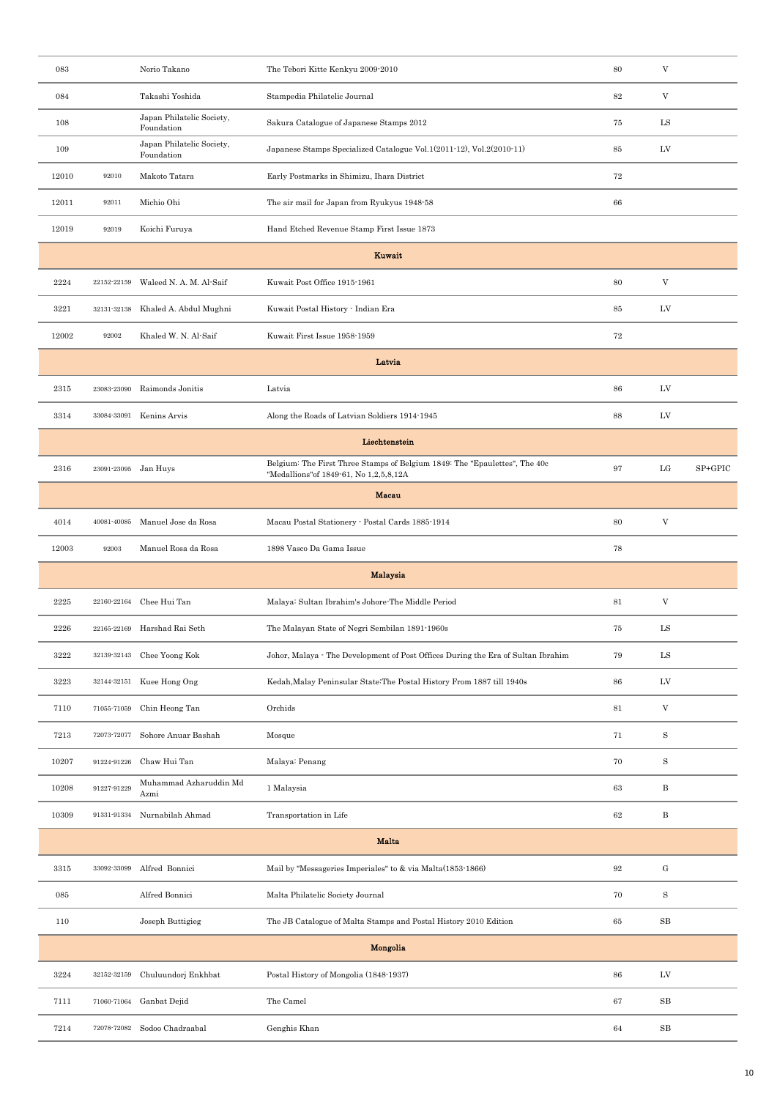| 083   |                      | Norio Takano                            | The Tebori Kitte Kenkyu 2009-2010                                                                                     | 80                | $\mathbf V$               |         |
|-------|----------------------|-----------------------------------------|-----------------------------------------------------------------------------------------------------------------------|-------------------|---------------------------|---------|
| 084   |                      | Takashi Yoshida                         | Stampedia Philatelic Journal                                                                                          | $82\,$            | $\mathbf V$               |         |
| 108   |                      | Japan Philatelic Society,<br>Foundation | Sakura Catalogue of Japanese Stamps 2012                                                                              | 75                | ${\rm LS}$                |         |
| 109   |                      | Japan Philatelic Society,<br>Foundation | Japanese Stamps Specialized Catalogue Vol.1(2011-12), Vol.2(2010-11)                                                  | 85                | LV                        |         |
| 12010 | 92010                | Makoto Tatara                           | Early Postmarks in Shimizu, Ihara District                                                                            | 72                |                           |         |
| 12011 | 92011                | Michio Ohi                              | The air mail for Japan from Ryukyus 1948-58                                                                           | 66                |                           |         |
| 12019 | 92019                | Koichi Furuya                           | Hand Etched Revenue Stamp First Issue 1873                                                                            |                   |                           |         |
|       |                      |                                         | Kuwait                                                                                                                |                   |                           |         |
| 2224  | 22152-22159          | Waleed N. A. M. Al-Saif                 | Kuwait Post Office 1915-1961                                                                                          | 80                | V                         |         |
| 3221  | $32131 - 32138$      | Khaled A. Abdul Mughni                  | Kuwait Postal History - Indian Era                                                                                    | 85                | LV                        |         |
| 12002 | 92002                | Khaled W. N. Al-Saif                    | Kuwait First Issue 1958-1959                                                                                          | 72                |                           |         |
|       |                      |                                         | Latvia                                                                                                                |                   |                           |         |
| 2315  | 23083-23090          | Raimonds Jonitis                        | Latvia                                                                                                                | 86                | LV                        |         |
| 3314  | 33084-33091          | Kenins Arvis                            | Along the Roads of Latvian Soldiers 1914-1945                                                                         | 88                | LV                        |         |
|       |                      |                                         | Liechtenstein                                                                                                         |                   |                           |         |
| 2316  | 23091-23095 Jan Huys |                                         | Belgium: The First Three Stamps of Belgium 1849: The "Epaulettes", The 40c<br>"Medallions" of 1849-61, No 1,2,5,8,12A | 97                | $_{\rm LG}$               | SP+GPIC |
|       |                      |                                         | Macau                                                                                                                 |                   |                           |         |
| 4014  | 40081-40085          | Manuel Jose da Rosa                     | Macau Postal Stationery - Postal Cards 1885-1914                                                                      | 80                | $\boldsymbol{\mathrm{V}}$ |         |
| 12003 | 92003                | Manuel Rosa da Rosa                     | 1898 Vasco Da Gama Issue                                                                                              | 78                |                           |         |
|       |                      |                                         | <b>Malaysia</b>                                                                                                       |                   |                           |         |
| 2225  | 22160-22164          | Chee Hui Tan                            | Malaya: Sultan Ibrahim's Johore-The Middle Period                                                                     | 81                | $\ensuremath{\mathbf{V}}$ |         |
| 2226  | 22165-22169          | Harshad Rai Seth                        | The Malayan State of Negri Sembilan 1891-1960s                                                                        | 75                | ${\rm LS}$                |         |
| 3222  |                      | 32139-32143 Chee Yoong Kok              | Johor, Malaya - The Development of Post Offices During the Era of Sultan Ibrahim                                      | 79                | ${\rm LS}$                |         |
| 3223  | 32144-32151          | Kuee Hong Ong                           | Kedah, Malay Peninsular State: The Postal History From 1887 till 1940s                                                | 86                | LV                        |         |
| 7110  | 71055-71059          | Chin Heong Tan                          | Orchids                                                                                                               | 81                | $\ensuremath{\mathbf{V}}$ |         |
| 7213  | 72073-72077          | Sohore Anuar Bashah                     | Mosque                                                                                                                | 71                | $\rm S$                   |         |
| 10207 | 91224-91226          | Chaw Hui Tan                            | Malaya: Penang                                                                                                        | 70                | $\mathbf S$               |         |
| 10208 | 91227-91229          | Muhammad Azharuddin Md<br>Azmi          | 1 Malaysia                                                                                                            | 63                | $\, {\bf B}$              |         |
| 10309 | 91331-91334          | Nurnabilah Ahmad                        | Transportation in Life                                                                                                | 62                | $\, {\bf B}$              |         |
|       |                      |                                         | <b>Malta</b>                                                                                                          |                   |                           |         |
| 3315  | 33092-33099          | Alfred Bonnici                          | Mail by "Messageries Imperiales" to & via Malta(1853-1866)                                                            | $\boldsymbol{92}$ | ${\bf G}$                 |         |
| 085   |                      | Alfred Bonnici                          | Malta Philatelic Society Journal                                                                                      | 70                | $\, {\bf S}$              |         |
| 110   |                      | Joseph Buttigieg                        | The JB Catalogue of Malta Stamps and Postal History 2010 Edition                                                      | 65                | $_{\rm SB}$               |         |
|       |                      |                                         | Mongolia                                                                                                              |                   |                           |         |
| 3224  | 32152-32159          | Chuluundorj Enkhbat                     | Postal History of Mongolia (1848-1937)                                                                                | 86                | LV                        |         |
| 7111  | 71060-71064          | Ganbat Dejid                            | The Camel                                                                                                             | 67                | $_{\rm SB}$               |         |
| 7214  | 72078-72082          | Sodoo Chadraabal                        | Genghis Khan                                                                                                          | 64                | $_{\rm SB}$               |         |
|       |                      |                                         |                                                                                                                       |                   |                           |         |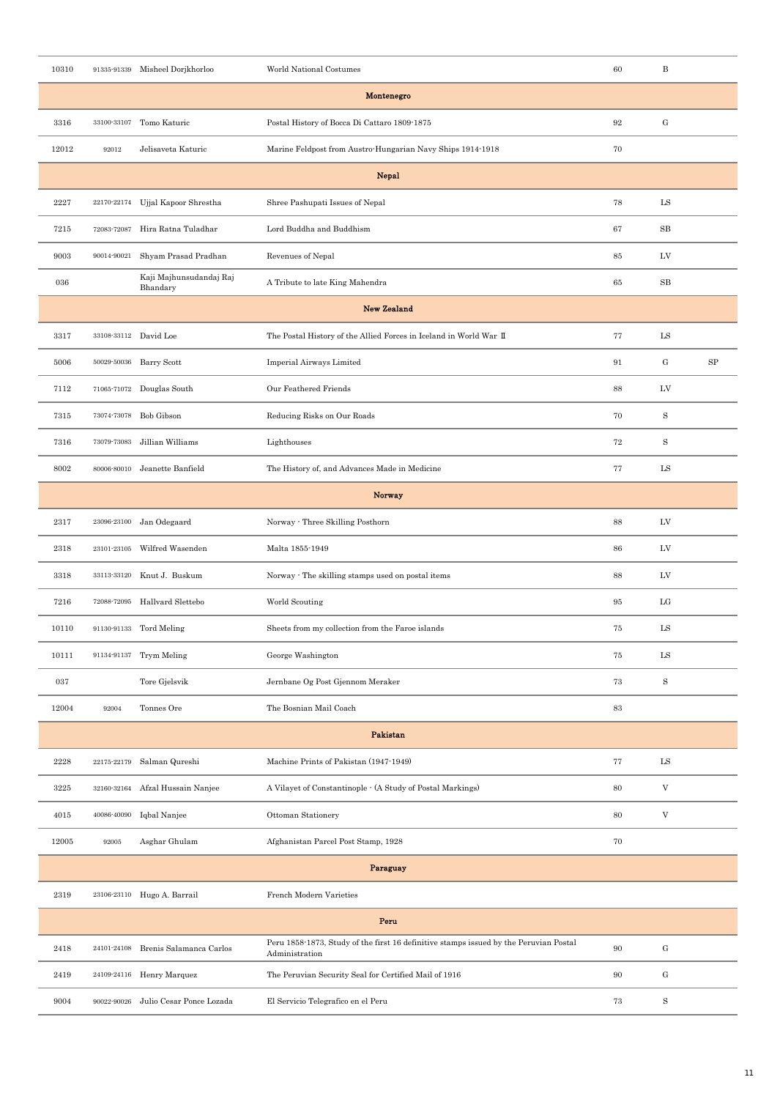| 10310 |                       | 91335-91339 Misheel Dorjkhorloo      | World National Costumes                                                                                 | 60        | $_{\rm B}$                        |            |
|-------|-----------------------|--------------------------------------|---------------------------------------------------------------------------------------------------------|-----------|-----------------------------------|------------|
|       |                       |                                      | Montenegro                                                                                              |           |                                   |            |
| 3316  | 33100-33107           | Tomo Katuric                         | Postal History of Bocca Di Cattaro 1809-1875                                                            | $\bf{92}$ | $\mathbf{G}% _{t}\left( t\right)$ |            |
| 12012 | 92012                 | Jelisaveta Katuric                   | Marine Feldpost from Austro-Hungarian Navy Ships 1914-1918                                              | 70        |                                   |            |
|       |                       |                                      | Nepal                                                                                                   |           |                                   |            |
| 2227  | 22170-22174           | Ujjal Kapoor Shrestha                | Shree Pashupati Issues of Nepal                                                                         | 78        | LS                                |            |
| 7215  | 72083-72087           | Hira Ratna Tuladhar                  | Lord Buddha and Buddhism                                                                                | 67        | $_{\rm SB}$                       |            |
| 9003  | 90014-90021           | Shyam Prasad Pradhan                 | Revenues of Nepal                                                                                       | 85        | LV                                |            |
| 036   |                       | Kaji Majhunsudandaj Raj<br>Bhandary  | A Tribute to late King Mahendra                                                                         | 65        | $_{\rm SB}$                       |            |
|       |                       |                                      | <b>New Zealand</b>                                                                                      |           |                                   |            |
| 3317  | 33108-33112 David Loe |                                      | The Postal History of the Allied Forces in Iceland in World War II                                      | 77        | ${\rm LS}$                        |            |
| 5006  |                       | 50029-50036 Barry Scott              | Imperial Airways Limited                                                                                | 91        | $\mathrm{G}$                      | ${\rm SP}$ |
| 7112  |                       | 71065-71072 Douglas South            | Our Feathered Friends                                                                                   | 88        | LV                                |            |
| 7315  | 73074-73078           | Bob Gibson                           | Reducing Risks on Our Roads                                                                             | 70        | S                                 |            |
| 7316  | 73079-73083           | Jillian Williams                     | Lighthouses                                                                                             | 72        | S                                 |            |
| 8002  | 80006-80010           | Jeanette Banfield                    | The History of, and Advances Made in Medicine                                                           | 77        | LS                                |            |
|       |                       |                                      | Norway                                                                                                  |           |                                   |            |
| 2317  | 23096-23100           | Jan Odegaard                         | Norway - Three Skilling Posthorn                                                                        | 88        | LV                                |            |
| 2318  | 23101-23105           | Wilfred Wasenden                     | Malta 1855-1949                                                                                         | 86        | LV                                |            |
| 3318  |                       | 33113-33120 Knut J. Buskum           | Norway · The skilling stamps used on postal items                                                       | 88        | LV                                |            |
| 7216  | 72088-72095           | Hallvard Slettebo                    | World Scouting                                                                                          | $95\,$    | $_{\rm LG}$                       |            |
| 10110 |                       | 91130-91133 Tord Meling              | Sheets from my collection from the Faroe islands                                                        | 75        | LS                                |            |
| 10111 |                       | 91134-91137 Trym Meling              | George Washington                                                                                       | 75        | $_{\rm LS}$                       |            |
| 037   |                       | Tore Gjelsvik                        | Jernbane Og Post Gjennom Meraker                                                                        | $73\,$    | $\mathbf S$                       |            |
| 12004 | 92004                 | Tonnes Ore                           | The Bosnian Mail Coach                                                                                  | $\bf 83$  |                                   |            |
|       |                       |                                      | Pakistan                                                                                                |           |                                   |            |
| 2228  | 22175-22179           | Salman Qureshi                       | Machine Prints of Pakistan (1947-1949)                                                                  | 77        | ${\rm LS}$                        |            |
| 3225  | 32160-32164           | Afzal Hussain Nanjee                 | A Vilayet of Constantinople - (A Study of Postal Markings)                                              | 80        | V                                 |            |
| 4015  | 40086-40090           | Iqbal Nanjee                         | Ottoman Stationery                                                                                      | 80        | $\mathbf V$                       |            |
| 12005 | 92005                 | Asghar Ghulam                        | Afghanistan Parcel Post Stamp, 1928                                                                     | 70        |                                   |            |
|       |                       |                                      | Paraguay                                                                                                |           |                                   |            |
| 2319  |                       | 23106-23110 Hugo A. Barrail          | French Modern Varieties                                                                                 |           |                                   |            |
|       |                       |                                      | Peru                                                                                                    |           |                                   |            |
| 2418  |                       | 24101-24108 Brenis Salamanca Carlos  | Peru 1858-1873, Study of the first 16 definitive stamps issued by the Peruvian Postal<br>Administration | 90        | ${\rm G}$                         |            |
| 2419  |                       | 24109-24116 Henry Marquez            | The Peruvian Security Seal for Certified Mail of 1916                                                   | 90        | $\mathrm{G}$                      |            |
| 9004  |                       | 90022-90026 Julio Cesar Ponce Lozada | El Servicio Telegrafico en el Peru                                                                      | 73        | $\mathbf S$                       |            |
|       |                       |                                      |                                                                                                         |           |                                   |            |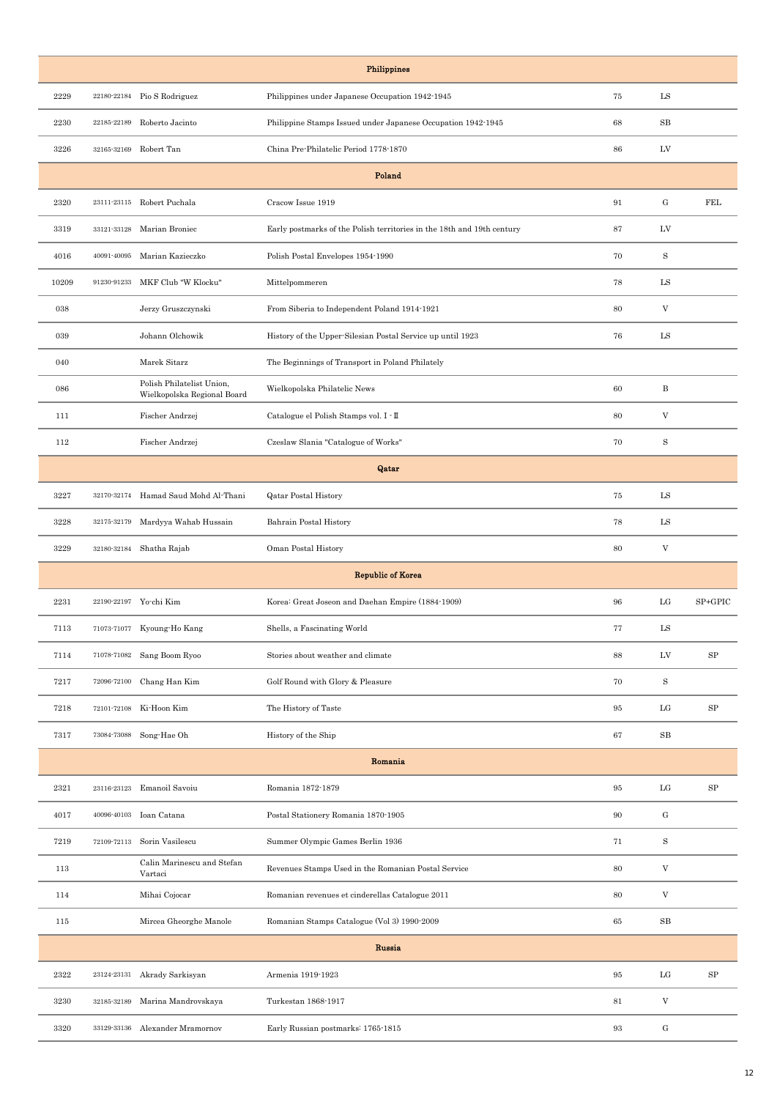| Philippines |                       |                                                          |                                                                        |        |                           |         |  |  |  |  |
|-------------|-----------------------|----------------------------------------------------------|------------------------------------------------------------------------|--------|---------------------------|---------|--|--|--|--|
| 2229        | 22180-22184           | Pio S Rodriguez                                          | Philippines under Japanese Occupation 1942-1945                        | 75     | $_{\rm LS}$               |         |  |  |  |  |
| 2230        | 22185-22189           | Roberto Jacinto                                          | Philippine Stamps Issued under Japanese Occupation 1942-1945           | 68     | SB                        |         |  |  |  |  |
| 3226        |                       | 32165-32169 Robert Tan                                   | China Pre-Philatelic Period 1778-1870                                  | 86     | LV                        |         |  |  |  |  |
|             |                       |                                                          | Poland                                                                 |        |                           |         |  |  |  |  |
| 2320        |                       | 23111-23115 Robert Puchala                               | Cracow Issue 1919                                                      | 91     | $\mathbf G$               | FEL     |  |  |  |  |
| 3319        | 33121-33128           | Marian Broniec                                           | Early postmarks of the Polish territories in the 18th and 19th century | 87     | LV                        |         |  |  |  |  |
| 4016        | 40091-40095           | Marian Kazieczko                                         | Polish Postal Envelopes 1954-1990                                      | 70     | $\rm S$                   |         |  |  |  |  |
| 10209       | 91230-91233           | MKF Club "W Klocku"                                      | Mittelpommeren                                                         | 78     | ${\rm LS}$                |         |  |  |  |  |
| 038         |                       | Jerzy Gruszczynski                                       | From Siberia to Independent Poland 1914-1921                           | 80     | V                         |         |  |  |  |  |
| 039         |                       | Johann Olchowik                                          | History of the Upper-Silesian Postal Service up until 1923             | 76     | LS                        |         |  |  |  |  |
| 040         |                       | Marek Sitarz                                             | The Beginnings of Transport in Poland Philately                        |        |                           |         |  |  |  |  |
| 086         |                       | Polish Philatelist Union,<br>Wielkopolska Regional Board | Wielkopolska Philatelic News                                           | 60     | B                         |         |  |  |  |  |
| 111         |                       | Fischer Andrzej                                          | Catalogue el Polish Stamps vol. I - II                                 | 80     | $\boldsymbol{\mathrm{V}}$ |         |  |  |  |  |
| 112         |                       | Fischer Andrzej                                          | Czeslaw Slania "Catalogue of Works"                                    | 70     | $\rm S$                   |         |  |  |  |  |
|             |                       |                                                          | Qatar                                                                  |        |                           |         |  |  |  |  |
| 3227        |                       | 32170-32174 Hamad Saud Mohd Al-Thani                     | <b>Qatar Postal History</b>                                            | 75     | LS                        |         |  |  |  |  |
| 3228        | 32175-32179           | Mardyya Wahab Hussain                                    | Bahrain Postal History                                                 | 78     | LS                        |         |  |  |  |  |
| 3229        |                       | 32180-32184 Shatha Rajab                                 | Oman Postal History                                                    | 80     | $\boldsymbol{\mathrm{V}}$ |         |  |  |  |  |
|             |                       |                                                          | <b>Republic of Korea</b>                                               |        |                           |         |  |  |  |  |
| 2231        |                       | 22190-22197 Yo-chi Kim                                   | Korea: Great Joseon and Daehan Empire (1884-1909)                      | 96     | $_{\rm LG}$               | SP+GPIC |  |  |  |  |
| 7113        |                       | 71073-71077 Kyoung-Ho Kang                               | Shells, a Fascinating World                                            | 77     | LS                        |         |  |  |  |  |
| 7114        |                       | 71078-71082 Sang Boom Ryoo                               | Stories about weather and climate                                      | 88     | LV                        | SP      |  |  |  |  |
| 7217        | 72096-72100           | Chang Han Kim                                            | Golf Round with Glory & Pleasure                                       | 70     | S                         |         |  |  |  |  |
| 7218        | 72101-72108           | Ki-Hoon Kim                                              | The History of Taste                                                   | 95     | $_{\rm LG}$               | SP      |  |  |  |  |
| 7317        | $73084\!\cdot\!73088$ | Song-Hae Oh                                              | History of the Ship                                                    | 67     | $_{\rm SB}$               |         |  |  |  |  |
|             |                       |                                                          | Romania                                                                |        |                           |         |  |  |  |  |
| 2321        | 23116-23123           | Emanoil Savoiu                                           | Romania 1872-1879                                                      | $95\,$ | $_{\rm LG}$               | SP      |  |  |  |  |
| 4017        |                       | 40096-40103 Ioan Catana                                  | Postal Stationery Romania 1870-1905                                    | 90     | $\mathbf{G}% _{0}$        |         |  |  |  |  |
| 7219        | 72109-72113           | Sorin Vasilescu                                          | Summer Olympic Games Berlin 1936                                       | 71     | $\, {\bf S}$              |         |  |  |  |  |
| 113         |                       | Calin Marinescu and Stefan<br>Vartaci                    | Revenues Stamps Used in the Romanian Postal Service                    | 80     | $\boldsymbol{\mathrm{V}}$ |         |  |  |  |  |
| 114         |                       | Mihai Cojocar                                            | Romanian revenues et cinderellas Catalogue 2011                        | 80     | $\boldsymbol{\mathrm{V}}$ |         |  |  |  |  |
| 115         |                       | Mircea Gheorghe Manole                                   | Romanian Stamps Catalogue (Vol 3) 1990-2009                            | 65     | $_{\rm SB}$               |         |  |  |  |  |
|             |                       |                                                          | Russia                                                                 |        |                           |         |  |  |  |  |
| 2322        | 23124-23131           | Akrady Sarkisyan                                         | Armenia 1919-1923                                                      | 95     | $_{\rm LG}$               | SP      |  |  |  |  |
| 3230        | 32185-32189           | Marina Mandrovskaya                                      | Turkestan 1868-1917                                                    | 81     | $\ensuremath{\mathbf{V}}$ |         |  |  |  |  |
| 3320        | 33129-33136           | Alexander Mramornov                                      | Early Russian postmarks: 1765-1815                                     | 93     | $\mathbf G$               |         |  |  |  |  |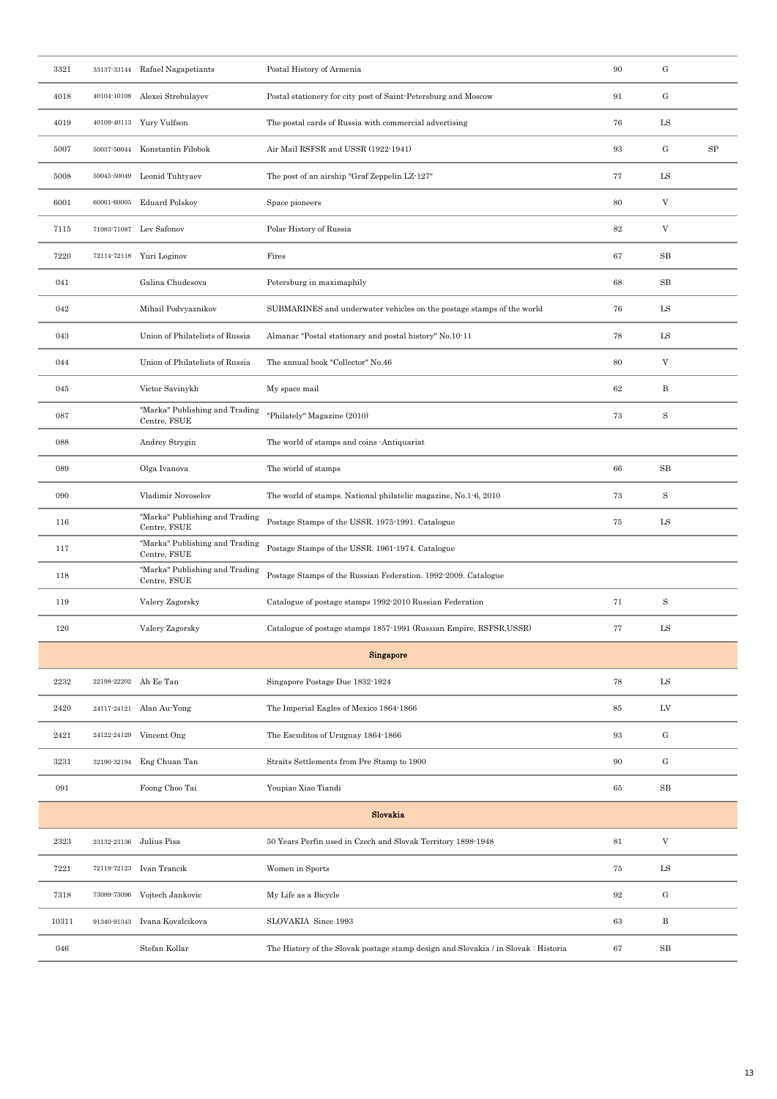| 3321             |                       | 33137-33144 Rafael Nagapetiants                | Postal History of Armenia                                                          | 90                | ${\rm G}$                 |            |
|------------------|-----------------------|------------------------------------------------|------------------------------------------------------------------------------------|-------------------|---------------------------|------------|
| 4018             |                       | 40104-10108 Alexei Strebulayev                 | Postal stationery for city post of Saint-Petersburg and Moscow                     | 91                | ${\bf G}$                 |            |
| 4019             |                       | 40109-40113 Yury Vulfson                       | The postal cards of Russia with commercial advertising                             | 76                | LS                        |            |
| 5007             |                       | 50037-50044 Konstantin Filobok                 | Air Mail RSFSR and USSR (1922-1941)                                                | $\boldsymbol{93}$ | ${\rm G}$                 | ${\rm SP}$ |
| 5008             | 50045-50049           | Leonid Tuhtyaev                                | The post of an airship "Graf Zeppelin LZ-127"                                      | 77                | LS                        |            |
| 6001             |                       | 60001-60005 Eduard Polskoy                     | Space pioneers                                                                     | 80                | $\mathbf V$               |            |
| 7115             |                       | 71083-71087 Lev Safonov                        | Polar History of Russia                                                            | $82\,$            | V                         |            |
| 7220             | 72114-72118           | Yuri Loginov                                   | Fires                                                                              | 67                | $_{\rm SB}$               |            |
| 041              |                       | Galina Chudesova                               | Petersburg in maximaphily                                                          | 68                | $_{\rm SB}$               |            |
| 042              |                       | Mihail Podvyaznikov                            | SUBMARINES and underwater vehicles on the postage stamps of the world              | 76                | $_{\rm LS}$               |            |
| 043              |                       | Union of Philatelists of Russia                | Almanac "Postal stationary and postal history" No.10-11                            | 78                | ${\rm LS}$                |            |
| 044              |                       | Union of Philatelists of Russia                | The annual book "Collector" No.46                                                  | 80                | V                         |            |
| 045              |                       | Victor Savinykh                                | My space mail                                                                      | 62                | $\, {\bf B}$              |            |
| 087              |                       | "Marka" Publishing and Trading<br>Centre, FSUE | "Philately" Magazine (2010)                                                        | 73                | S                         |            |
| 088              |                       | Andrey Strygin                                 | The world of stamps and coins -Antiquariat                                         |                   |                           |            |
| 089              |                       | Olga Ivanova                                   | The world of stamps                                                                | 66                | $_{\rm SB}$               |            |
| 090              |                       | Vladimir Novoselov                             | The world of stamps. National philatelic magazine, No.1-6, 2010                    | 73                | $\rm S$                   |            |
| 116              |                       | "Marka" Publishing and Trading<br>Centre, FSUE | Postage Stamps of the USSR. 1975-1991. Catalogue                                   | 75                | $_{\rm LS}$               |            |
| 117              |                       | "Marka" Publishing and Trading<br>Centre, FSUE | Postage Stamps of the USSR. 1961-1974. Catalogue                                   |                   |                           |            |
| 118              |                       | "Marka" Publishing and Trading<br>Centre, FSUE | Postage Stamps of the Russian Federation. 1992-2009. Catalogue                     |                   |                           |            |
| 119              |                       | Valery Zagorsky                                | Catalogue of postage stamps 1992-2010 Russian Federation                           | 71                | $\rm S$                   |            |
| 120              |                       | Valery Zagorsky                                | Catalogue of postage stamps 1857-1991 (Russian Empire, RSFSR, USSR)                | 77                | $_{\rm LS}$               |            |
| <b>Singapore</b> |                       |                                                |                                                                                    |                   |                           |            |
| 2232             | 22198-22202 Ah Ee Tan |                                                | Singapore Postage Due 1832-1924                                                    | 78                | ${\rm LS}$                |            |
| 2420             |                       | 24117-24121 Alan Au-Yong                       | The Imperial Eagles of Mexico 1864-1866                                            | 85                | ${\rm LV}$                |            |
| 2421             | 24122-24129           | Vincent Ong                                    | The Escuditos of Uruguay 1864-1866                                                 | 93                | ${\rm G}$                 |            |
| 3231             | 32190-32194           | Eng Chuan Tan                                  | Straits Settlements from Pre Stamp to 1900                                         | 90                | $\mathrm{G}$              |            |
| 091              |                       | Foong Choo Tai                                 | Youpiao Xiao Tiandi                                                                | $65\,$            | $\rm SB$                  |            |
|                  |                       |                                                | <b>Slovakia</b>                                                                    |                   |                           |            |
| 2323             | 23132-23136           | Julius Pisa                                    | 50 Years Perfin used in Czech and Slovak Territory 1898-1948                       | 81                | $\ensuremath{\mathbf{V}}$ |            |
| 7221             |                       | 72119-72123 Ivan Trancik                       | Women in Sports                                                                    | 75                | ${\rm LS}$                |            |
| 7318             | 73089-73096           | Vojtech Jankovic                               | My Life as a Bicycle                                                               | $92\,$            | $\mathrm{G}$              |            |
| 10311            | 91340-91343           | Ivana Kovalcikova                              | SLOVAKIA Since 1993                                                                | 63                | $\, {\bf B}$              |            |
| 046              |                       | Stefan Kollar                                  | The History of the Slovak postage stamp design and Slovakia / in Slovak : Historia | 67                | $_{\rm SB}$               |            |
|                  |                       |                                                |                                                                                    |                   |                           |            |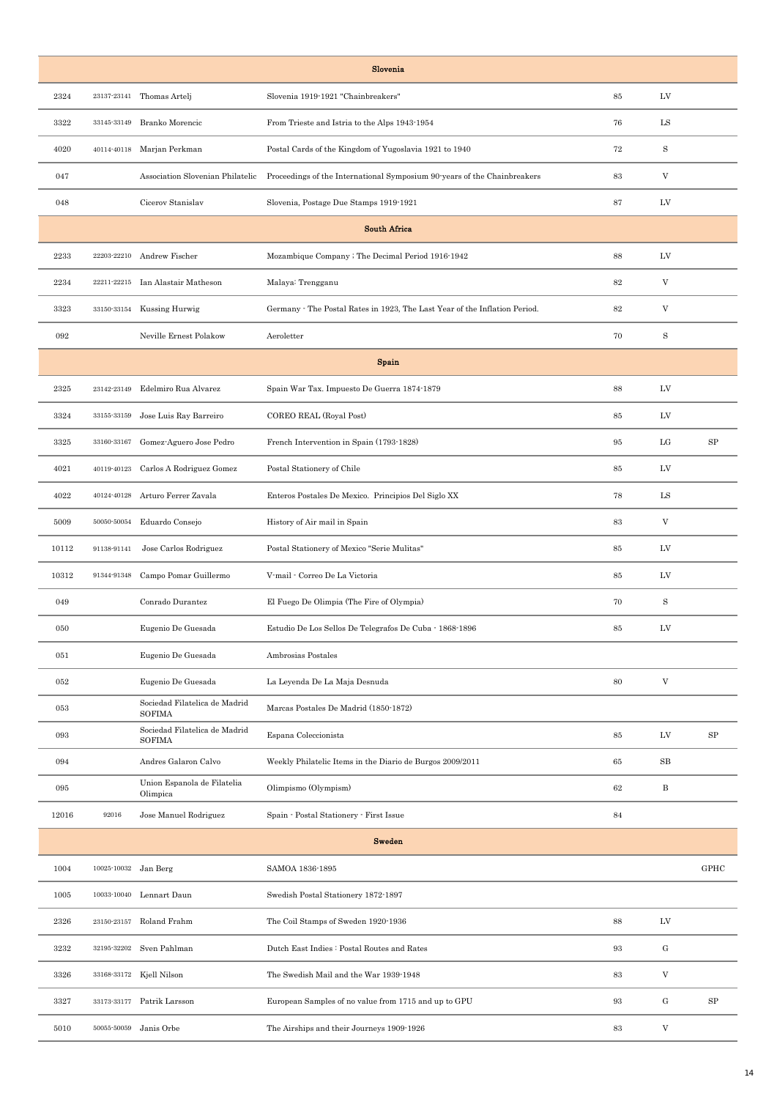| Slovenia |                      |                                                |                                                                            |        |                           |             |
|----------|----------------------|------------------------------------------------|----------------------------------------------------------------------------|--------|---------------------------|-------------|
| 2324     | 23137-23141          | Thomas Artelj                                  | Slovenia 1919-1921 "Chainbreakers"                                         | 85     | LV                        |             |
| 3322     | 33145-33149          | Branko Morencic                                | From Trieste and Istria to the Alps 1943-1954                              | 76     | LS                        |             |
| 4020     |                      | 40114-40118 Marjan Perkman                     | Postal Cards of the Kingdom of Yugoslavia 1921 to 1940                     | 72     | $\mathbf S$               |             |
| 047      |                      | Association Slovenian Philatelic               | Proceedings of the International Symposium 90 years of the Chainbreakers   | 83     | V                         |             |
| 048      |                      | Cicerov Stanislav                              | Slovenia, Postage Due Stamps 1919-1921                                     | 87     | LV                        |             |
|          |                      |                                                | <b>South Africa</b>                                                        |        |                           |             |
| 2233     | 22203-22210          | Andrew Fischer                                 | Mozambique Company ; The Decimal Period 1916-1942                          | 88     | LV                        |             |
| 2234     | 22211-22215          | Ian Alastair Matheson                          | Malaya: Trengganu                                                          | 82     | V                         |             |
| 3323     | 33150-33154          | Kussing Hurwig                                 | Germany - The Postal Rates in 1923, The Last Year of the Inflation Period. | 82     | V                         |             |
| 092      |                      | Neville Ernest Polakow                         | Aeroletter                                                                 | 70     | S                         |             |
|          |                      |                                                | <b>Spain</b>                                                               |        |                           |             |
| 2325     | 23142-23149          | Edelmiro Rua Alvarez                           | Spain War Tax. Impuesto De Guerra 1874-1879                                | 88     | LV                        |             |
| 3324     | 33155-33159          | Jose Luis Ray Barreiro                         | COREO REAL (Royal Post)                                                    | 85     | LV                        |             |
| 3325     | 33160-33167          | Gomez-Aguero Jose Pedro                        | French Intervention in Spain (1793-1828)                                   | 95     | LG                        | SP          |
| 4021     | 40119-40123          | Carlos A Rodriguez Gomez                       | Postal Stationery of Chile                                                 | 85     | LV                        |             |
| 4022     | 40124-40128          | Arturo Ferrer Zavala                           | Enteros Postales De Mexico. Principios Del Siglo XX                        | 78     | LS                        |             |
| 5009     | 50050-50054          | Eduardo Consejo                                | History of Air mail in Spain                                               | 83     | V                         |             |
| 10112    | 91138-91141          | Jose Carlos Rodriguez                          | Postal Stationery of Mexico "Serie Mulitas"                                | 85     | LV                        |             |
| 10312    | 91344-91348          | Campo Pomar Guillermo                          | V-mail - Correo De La Victoria                                             | 85     | LV                        |             |
| 049      |                      | Conrado Durantez                               | El Fuego De Olimpia (The Fire of Olympia)                                  | 70     | S                         |             |
| 050      |                      | Eugenio De Guesada                             | Estudio De Los Sellos De Telegrafos De Cuba - 1868-1896                    | 85     | LV                        |             |
| 051      |                      | Eugenio De Guesada                             | Ambrosias Postales                                                         |        |                           |             |
| 052      |                      | Eugenio De Guesada                             | La Leyenda De La Maja Desnuda                                              | 80     | $\boldsymbol{\mathrm{V}}$ |             |
| 053      |                      | Sociedad Filatelica de Madrid<br><b>SOFIMA</b> | Marcas Postales De Madrid (1850-1872)                                      |        |                           |             |
| 093      |                      | Sociedad Filatelica de Madrid<br><b>SOFIMA</b> | Espana Coleccionista                                                       | 85     | LV                        | SP          |
| 094      |                      | Andres Galaron Calvo                           | Weekly Philatelic Items in the Diario de Burgos 2009/2011                  | 65     | SB                        |             |
| 095      |                      | Union Espanola de Filatelia<br>Olimpica        | Olimpismo (Olympism)                                                       | $62\,$ | B                         |             |
| 12016    | 92016                | Jose Manuel Rodriguez                          | Spain · Postal Stationery · First Issue                                    | 84     |                           |             |
|          | <b>Sweden</b>        |                                                |                                                                            |        |                           |             |
| 1004     | 10025-10032 Jan Berg |                                                | SAMOA 1836-1895                                                            |        |                           | <b>GPHC</b> |
| 1005     | 10033-10040          | Lennart Daun                                   | Swedish Postal Stationery 1872-1897                                        |        |                           |             |
| 2326     | 23150-23157          | Roland Frahm                                   | The Coil Stamps of Sweden 1920-1936                                        | 88     | LV                        |             |
| 3232     |                      | 32195-32202 Sven Pahlman                       | Dutch East Indies : Postal Routes and Rates                                | 93     | $\mathbf G$               |             |
| 3326     |                      | 33168-33172 Kjell Nilson                       | The Swedish Mail and the War 1939-1948                                     | 83     | $\ensuremath{\mathbf{V}}$ |             |
| 3327     |                      | 33173-33177 Patrik Larsson                     | European Samples of no value from 1715 and up to GPU                       | 93     | $\mathbf G$               | SP          |
| 5010     | 50055-50059          | Janis Orbe                                     | The Airships and their Journeys 1909-1926                                  | 83     | V                         |             |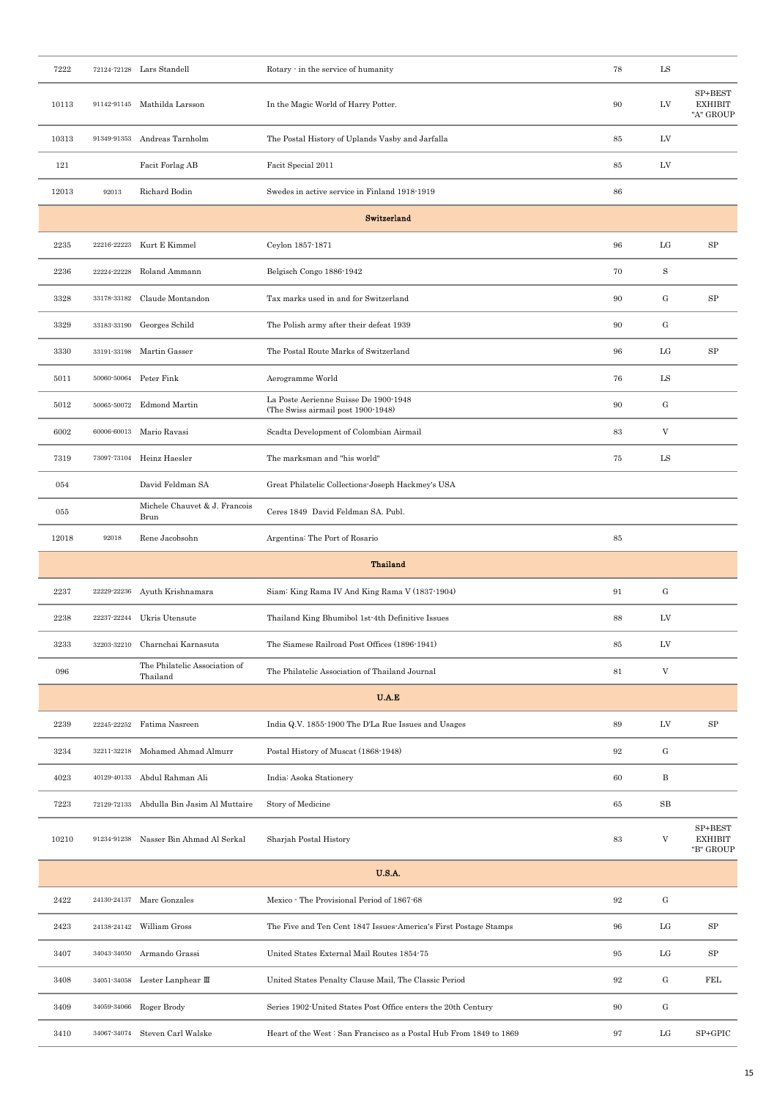| 7222  |             | 72124-72128 Lars Standell                 | Rotary - in the service of humanity                                         | 78     | $_{\rm LS}$                       |                                        |  |  |
|-------|-------------|-------------------------------------------|-----------------------------------------------------------------------------|--------|-----------------------------------|----------------------------------------|--|--|
| 10113 | 91142-91145 | Mathilda Larsson                          | In the Magic World of Harry Potter.                                         | 90     | LV                                | SP+BEST<br><b>EXHIBIT</b><br>"A" GROUP |  |  |
| 10313 | 91349-91353 | Andreas Tarnholm                          | The Postal History of Uplands Vasby and Jarfalla                            | $85\,$ | LV                                |                                        |  |  |
| 121   |             | Facit Forlag AB                           | Facit Special 2011                                                          | 85     | LV                                |                                        |  |  |
| 12013 | 92013       | Richard Bodin                             | Swedes in active service in Finland 1918-1919                               | 86     |                                   |                                        |  |  |
|       |             |                                           | Switzerland                                                                 |        |                                   |                                        |  |  |
| 2235  | 22216-22223 | Kurt E Kimmel                             | Ceylon 1857-1871                                                            | 96     | LG                                | ${\rm SP}$                             |  |  |
| 2236  | 22224-22228 | Roland Ammann                             | Belgisch Congo 1886-1942                                                    | 70     | S                                 |                                        |  |  |
| 3328  | 33178-33182 | Claude Montandon                          | Tax marks used in and for Switzerland                                       | 90     | $\mathbf{G}% _{t}\left( t\right)$ | SP                                     |  |  |
| 3329  | 33183-33190 | Georges Schild                            | The Polish army after their defeat 1939                                     | 90     | $\mathbf{G}% _{t}\left( t\right)$ |                                        |  |  |
| 3330  | 33191-33198 | Martin Gasser                             | The Postal Route Marks of Switzerland                                       | 96     | $_{\rm LG}$                       | ${\rm SP}$                             |  |  |
| 5011  | 50060-50064 | Peter Fink                                | Aerogramme World                                                            | 76     | $_{\rm LS}$                       |                                        |  |  |
| 5012  | 50065-50072 | <b>Edmond Martin</b>                      | La Poste Aerienne Suisse De 1900-1948<br>(The Swiss airmail post 1900-1948) | 90     | $\mathbf{G}% _{t}\left( t\right)$ |                                        |  |  |
| 6002  | 60006-60013 | Mario Ravasi                              | Scadta Development of Colombian Airmail                                     | 83     | V                                 |                                        |  |  |
| 7319  | 73097-73104 | Heinz Haesler                             | The marksman and "his world"                                                | 75     | LS                                |                                        |  |  |
| 054   |             | David Feldman SA                          | Great Philatelic Collections Joseph Hackmey's USA                           |        |                                   |                                        |  |  |
| 055   |             | Michele Chauvet & J. Francois<br>Brun     | Ceres 1849 David Feldman SA. Publ.                                          |        |                                   |                                        |  |  |
| 12018 | 92018       | Rene Jacobsohn                            | Argentina: The Port of Rosario                                              | 85     |                                   |                                        |  |  |
|       |             | <b>Thailand</b>                           |                                                                             |        |                                   |                                        |  |  |
|       |             |                                           |                                                                             |        |                                   |                                        |  |  |
| 2237  | 22229-22236 | Ayuth Krishnamara                         | Siam: King Rama IV And King Rama V (1837-1904)                              | 91     | $\mathbf{G}% _{t}\left( t\right)$ |                                        |  |  |
| 2238  | 22237-22244 | Ukris Utensute                            | Thailand King Bhumibol 1st-4th Definitive Issues                            | 88     | LV                                |                                        |  |  |
| 3233  | 32203-32210 | Charnchai Karnasuta                       | The Siamese Railroad Post Offices (1896-1941)                               | 85     | $\ensuremath{\text{LV}}$          |                                        |  |  |
| 096   |             | The Philatelic Association of<br>Thailand | The Philatelic Association of Thailand Journal                              | $81\,$ | $\boldsymbol{\mathrm{V}}$         |                                        |  |  |
|       |             |                                           | U.A.E                                                                       |        |                                   |                                        |  |  |
| 2239  | 22245-22252 | Fatima Nasreen                            | India Q.V. 1855-1900 The D'La Rue Issues and Usages                         | 89     | ${\rm LV}$                        | ${\rm SP}$                             |  |  |
| 3234  | 32211-32218 | Mohamed Ahmad Almurr                      | Postal History of Muscat (1868-1948)                                        | 92     | $\mathbf{G}% _{t}\left( t\right)$ |                                        |  |  |
| 4023  | 40129-40133 | Abdul Rahman Ali                          | India: Asoka Stationery                                                     | 60     | $\, {\bf B}$                      |                                        |  |  |
| 7223  | 72129-72133 | Abdulla Bin Jasim Al Muttaire             | Story of Medicine                                                           | 65     | $_{\rm SB}$                       |                                        |  |  |
| 10210 | 91234-91238 | Nasser Bin Ahmad Al Serkal                | Sharjah Postal History                                                      | 83     | V                                 | SP+BEST<br><b>EXHIBIT</b><br>"B" GROUP |  |  |
|       |             |                                           | <b>U.S.A.</b>                                                               |        |                                   |                                        |  |  |
| 2422  |             | 24130-24137 Marc Gonzales                 | Mexico - The Provisional Period of 1867-68                                  | $92\,$ | ${\rm G}$                         |                                        |  |  |
| 2423  | 24138-24142 | William Gross                             | The Five and Ten Cent 1847 Issues-America's First Postage Stamps            | 96     | LG                                | SP                                     |  |  |
| 3407  | 34043-34050 | Armando Grassi                            | United States External Mail Routes 1854-75                                  | 95     | $_{\rm LG}$                       | ${\rm SP}$                             |  |  |
| 3408  |             | 34051-34058 Lester Lanphear III           | United States Penalty Clause Mail, The Classic Period                       | $92\,$ | $\mathbf{G}% _{t}\left( t\right)$ | FEL                                    |  |  |
| 3409  |             | 34059-34066 Roger Brody                   | Series 1902-United States Post Office enters the 20th Century               | 90     | $\mathbf{G}% _{t}\left( t\right)$ |                                        |  |  |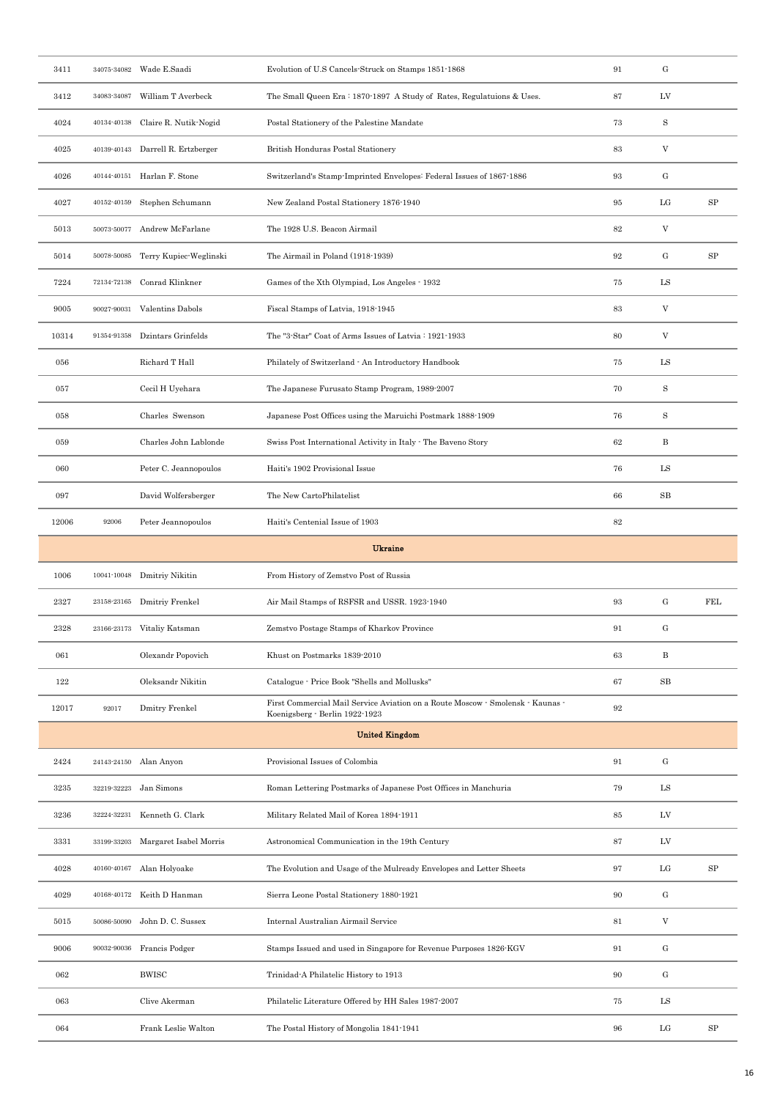| 3411  |             | 34075-34082 Wade E.Saadi       | Evolution of U.S Cancels Struck on Stamps 1851-1868                                                              | 91     | ${\rm G}$                         |            |
|-------|-------------|--------------------------------|------------------------------------------------------------------------------------------------------------------|--------|-----------------------------------|------------|
| 3412  |             | 34083-34087 William T Averbeck | The Small Queen Era: 1870-1897 A Study of Rates, Regulatuions & Uses.                                            | 87     | LV                                |            |
| 4024  | 40134-40138 | Claire R. Nutik-Nogid          | Postal Stationery of the Palestine Mandate                                                                       | 73     | $\rm S$                           |            |
| 4025  | 40139-40143 | Darrell R. Ertzberger          | British Honduras Postal Stationery                                                                               | 83     | V                                 |            |
| 4026  | 40144-40151 | Harlan F. Stone                | Switzerland's Stamp-Imprinted Envelopes: Federal Issues of 1867-1886                                             | 93     | $\mathbf{G}% _{t}\left( t\right)$ |            |
| 4027  | 40152-40159 | Stephen Schumann               | New Zealand Postal Stationery 1876-1940                                                                          | 95     | LG                                | SP         |
| 5013  |             | 50073-50077 Andrew McFarlane   | The 1928 U.S. Beacon Airmail                                                                                     | $82\,$ | V                                 |            |
| 5014  | 50078-50085 | Terry Kupiec-Weglinski         | The Airmail in Poland (1918-1939)                                                                                | 92     | $\mathbf{G}% _{t}\left( t\right)$ | SP         |
| 7224  | 72134-72138 | Conrad Klinkner                | Games of the Xth Olympiad, Los Angeles - 1932                                                                    | 75     | LS                                |            |
| 9005  | 90027-90031 | Valentins Dabols               | Fiscal Stamps of Latvia, 1918-1945                                                                               | 83     | V                                 |            |
| 10314 | 91354-91358 | Dzintars Grinfelds             | The "3-Star" Coat of Arms Issues of Latvia: 1921-1933                                                            | 80     | V                                 |            |
| 056   |             | Richard T Hall                 | Philately of Switzerland - An Introductory Handbook                                                              | 75     | LS                                |            |
| 057   |             | Cecil H Uyehara                | The Japanese Furusato Stamp Program, 1989-2007                                                                   | 70     | $\rm S$                           |            |
| 058   |             | Charles Swenson                | Japanese Post Offices using the Maruichi Postmark 1888-1909                                                      | 76     | S                                 |            |
| 059   |             | Charles John Lablonde          | Swiss Post International Activity in Italy - The Baveno Story                                                    | 62     | B                                 |            |
| 060   |             | Peter C. Jeannopoulos          | Haiti's 1902 Provisional Issue                                                                                   | 76     | LS                                |            |
| 097   |             | David Wolfersberger            | The New CartoPhilatelist                                                                                         | 66     | $_{\rm SB}$                       |            |
| 12006 | 92006       | Peter Jeannopoulos             | Haiti's Centenial Issue of 1903                                                                                  | 82     |                                   |            |
|       |             |                                | <b>Ukraine</b>                                                                                                   |        |                                   |            |
| 1006  | 10041-10048 | Dmitriy Nikitin                | From History of Zemstvo Post of Russia                                                                           |        |                                   |            |
| 2327  | 23158-23165 | Dmitriy Frenkel                | Air Mail Stamps of RSFSR and USSR. 1923-1940                                                                     | 93     | ${\rm G}$                         | <b>FEL</b> |
| 2328  |             | 23166-23173 Vitaliy Katsman    | Zemstvo Postage Stamps of Kharkov Province                                                                       | 91     | $\mathbf{G}% _{t}\left( t\right)$ |            |
| 061   |             | Olexandr Popovich              | Khust on Postmarks 1839-2010                                                                                     | 63     | $\, {\bf B}$                      |            |
| 122   |             | Oleksandr Nikitin              | Catalogue - Price Book "Shells and Mollusks"                                                                     | 67     | $_{\rm SB}$                       |            |
| 12017 | 92017       | Dmitry Frenkel                 | First Commercial Mail Service Aviation on a Route Moscow - Smolensk - Kaunas -<br>Koenigsberg · Berlin 1922-1923 | $92\,$ |                                   |            |
|       |             |                                | <b>United Kingdom</b>                                                                                            |        |                                   |            |
| 2424  |             | 24143-24150 Alan Anyon         | Provisional Issues of Colombia                                                                                   | 91     | ${\rm G}$                         |            |
| 3235  | 32219-32223 | Jan Simons                     | Roman Lettering Postmarks of Japanese Post Offices in Manchuria                                                  | 79     | ${\rm LS}$                        |            |
| 3236  | 32224-32231 | Kenneth G. Clark               | Military Related Mail of Korea 1894-1911                                                                         | 85     | ${\rm LV}$                        |            |
| 3331  | 33199-33203 | Margaret Isabel Morris         | Astronomical Communication in the 19th Century                                                                   | 87     | LV                                |            |
| 4028  | 40160-40167 | Alan Holyoake                  | The Evolution and Usage of the Mulready Envelopes and Letter Sheets                                              | 97     | $_{\rm LG}$                       | SP         |
| 4029  | 40168-40172 | Keith D Hanman                 | Sierra Leone Postal Stationery 1880-1921                                                                         | 90     | ${\rm G}$                         |            |
| 5015  | 50086-50090 | John D. C. Sussex              | Internal Australian Airmail Service                                                                              | 81     | V                                 |            |
| 9006  | 90032-90036 | Francis Podger                 | Stamps Issued and used in Singapore for Revenue Purposes 1826-KGV                                                | 91     | ${\rm G}$                         |            |
| 062   |             | <b>BWISC</b>                   | Trinidad-A Philatelic History to 1913                                                                            | 90     | ${\rm G}$                         |            |
| 063   |             | Clive Akerman                  | Philatelic Literature Offered by HH Sales 1987-2007                                                              | 75     | $_{\rm LS}$                       |            |
| 064   |             | Frank Leslie Walton            | The Postal History of Mongolia 1841-1941                                                                         | 96     | LG                                | SP         |
|       |             |                                |                                                                                                                  |        |                                   |            |